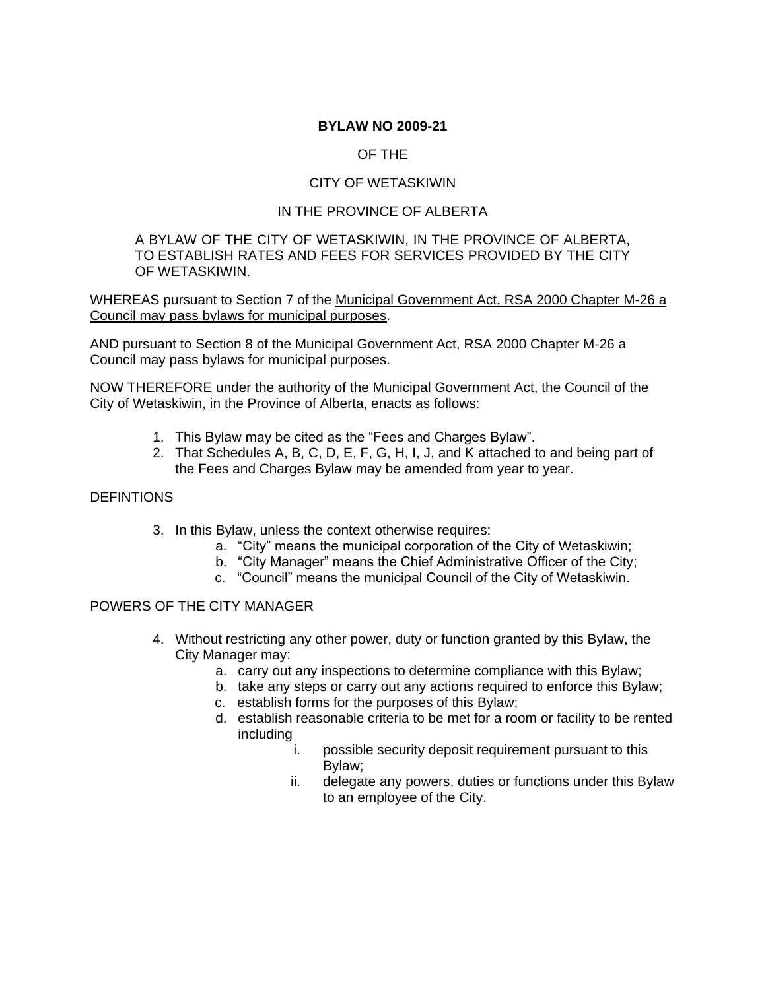#### **BYLAW NO 2009-21**

## OF THE

## CITY OF WETASKIWIN

## IN THE PROVINCE OF ALBERTA

#### A BYLAW OF THE CITY OF WETASKIWIN, IN THE PROVINCE OF ALBERTA, TO ESTABLISH RATES AND FEES FOR SERVICES PROVIDED BY THE CITY OF WETASKIWIN.

WHEREAS pursuant to Section 7 of the Municipal Government Act, RSA 2000 Chapter M-26 a Council may pass bylaws for municipal purposes.

AND pursuant to Section 8 of the Municipal Government Act, RSA 2000 Chapter M-26 a Council may pass bylaws for municipal purposes.

NOW THEREFORE under the authority of the Municipal Government Act, the Council of the City of Wetaskiwin, in the Province of Alberta, enacts as follows:

- 1. This Bylaw may be cited as the "Fees and Charges Bylaw".
- 2. That Schedules A, B, C, D, E, F, G, H, I, J, and K attached to and being part of the Fees and Charges Bylaw may be amended from year to year.

#### **DEFINTIONS**

- 3. In this Bylaw, unless the context otherwise requires:
	- a. "City" means the municipal corporation of the City of Wetaskiwin;
	- b. "City Manager" means the Chief Administrative Officer of the City;
	- c. "Council" means the municipal Council of the City of Wetaskiwin.

#### POWERS OF THE CITY MANAGER

- 4. Without restricting any other power, duty or function granted by this Bylaw, the City Manager may:
	- a. carry out any inspections to determine compliance with this Bylaw;
	- b. take any steps or carry out any actions required to enforce this Bylaw;
	- c. establish forms for the purposes of this Bylaw;
	- d. establish reasonable criteria to be met for a room or facility to be rented including
		- i. possible security deposit requirement pursuant to this Bylaw;
		- ii. delegate any powers, duties or functions under this Bylaw to an employee of the City.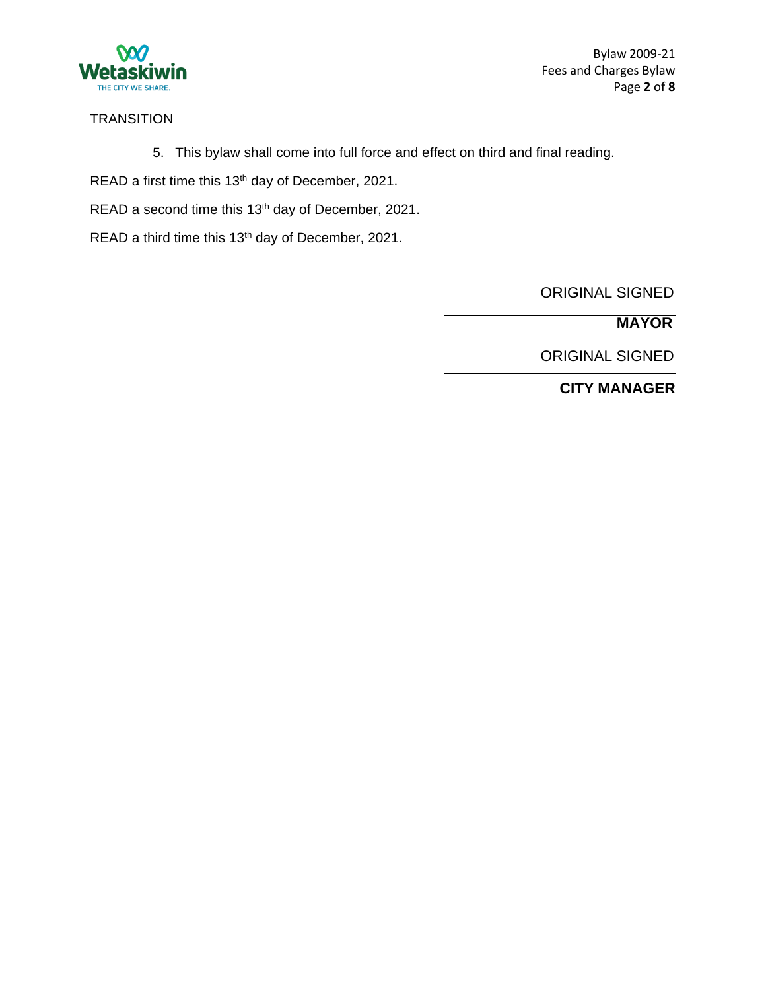

Bylaw 2009-21 Fees and Charges Bylaw Page **2** of **8**

### **TRANSITION**

5. This bylaw shall come into full force and effect on third and final reading.

READ a first time this 13<sup>th</sup> day of December, 2021.

READ a second time this 13<sup>th</sup> day of December, 2021.

READ a third time this 13<sup>th</sup> day of December, 2021.

ORIGINAL SIGNED

**MAYOR**

ORIGINAL SIGNED

**CITY MANAGER**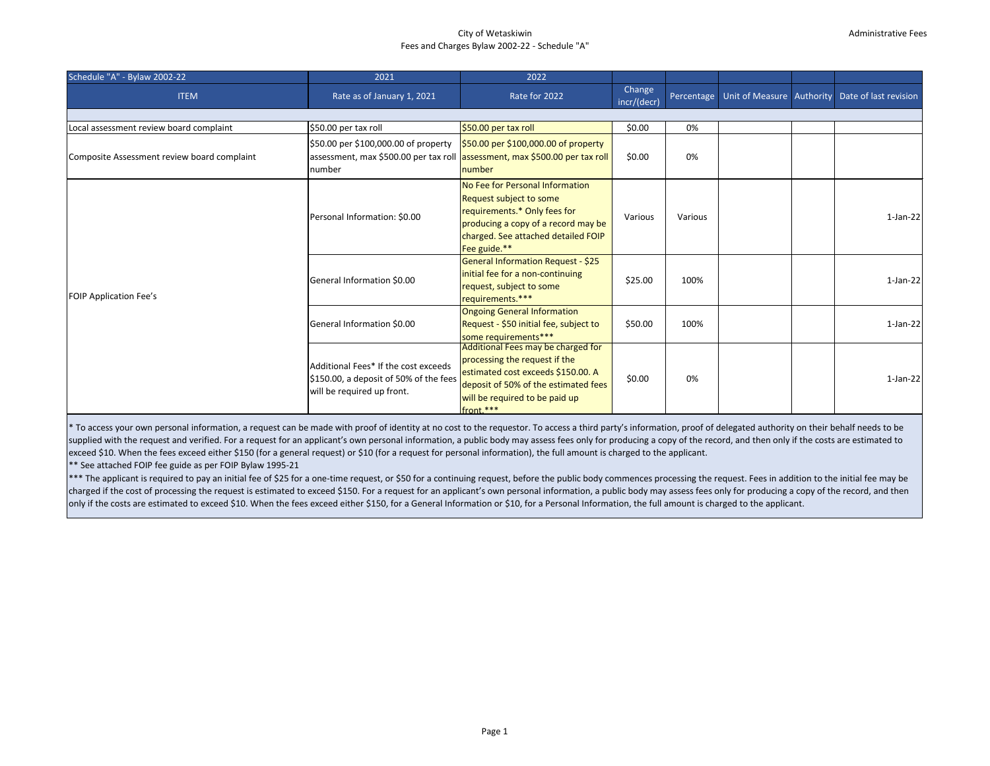#### City of Wetaskiwin Fees and Charges Bylaw 2002-22 - Schedule "A"

| Schedule "A" - Bylaw 2002-22                | 2021                                                                                                                          | 2022                                                                                                                                                                                             |                       |            |  |                                                 |
|---------------------------------------------|-------------------------------------------------------------------------------------------------------------------------------|--------------------------------------------------------------------------------------------------------------------------------------------------------------------------------------------------|-----------------------|------------|--|-------------------------------------------------|
| <b>ITEM</b>                                 | Rate as of January 1, 2021                                                                                                    | Rate for 2022                                                                                                                                                                                    | Change<br>incr/(decr) | Percentage |  | Unit of Measure Authority Date of last revision |
|                                             |                                                                                                                               |                                                                                                                                                                                                  |                       |            |  |                                                 |
| Local assessment review board complaint     | \$50.00 per tax roll                                                                                                          | \$50.00 per tax roll                                                                                                                                                                             | \$0.00                | 0%         |  |                                                 |
| Composite Assessment review board complaint | \$50.00 per \$100,000.00 of property<br>assessment, max \$500.00 per tax roll assessment, max \$500.00 per tax roll<br>number | \$50.00 per \$100,000.00 of property<br>number                                                                                                                                                   | \$0.00                | 0%         |  |                                                 |
| <b>FOIP Application Fee's</b>               | Personal Information: \$0.00                                                                                                  | No Fee for Personal Information<br>Request subject to some<br>requirements.* Only fees for<br>producing a copy of a record may be<br>charged. See attached detailed FOIP<br>Fee guide.**         | Various               | Various    |  | $1-Jan-22$                                      |
|                                             | General Information \$0.00                                                                                                    | General Information Request - \$25<br>initial fee for a non-continuing<br>request, subject to some<br>requirements.***                                                                           | \$25.00               | 100%       |  | $1-Jan-22$                                      |
|                                             | General Information \$0.00                                                                                                    | <b>Ongoing General Information</b><br>Request - \$50 initial fee, subject to<br>some requirements***                                                                                             | \$50.00               | 100%       |  | $1-Jan-22$                                      |
|                                             | Additional Fees* If the cost exceeds<br>\$150.00, a deposit of 50% of the fees<br>will be required up front.                  | Additional Fees may be charged for<br>processing the request if the<br>estimated cost exceeds \$150.00. A<br>deposit of 50% of the estimated fees<br>will be required to be paid up<br>front.*** | \$0.00                | 0%         |  | $1-Jan-22$                                      |

 $*$  To access your own personal information, a request can be made with proof of identity at no cost to the requestor. To access a third party's information, proof of delegated authority on their behalf needs to be supplied with the request and verified. For a request for an applicant's own personal information, a public body may assess fees only for producing a copy of the record, and then only if the costs are estimated to exceed \$10. When the fees exceed either \$150 (for a general request) or \$10 (for a request for personal information), the full amount is charged to the applicant.

\*\* See attached FOIP fee guide as per FOIP Bylaw 1995-21

\*\*\* The applicant is required to pay an initial fee of \$25 for a one-time request, or \$50 for a continuing request, before the public body commences processing the request. Fees in addition to the initial fee may be charged if the cost of processing the request is estimated to exceed \$150. For a request for an applicant's own personal information, a public body may assess fees only for producing a copy of the record, and then only if the costs are estimated to exceed \$10. When the fees exceed either \$150, for a General Information or \$10, for a Personal Information, the full amount is charged to the applicant.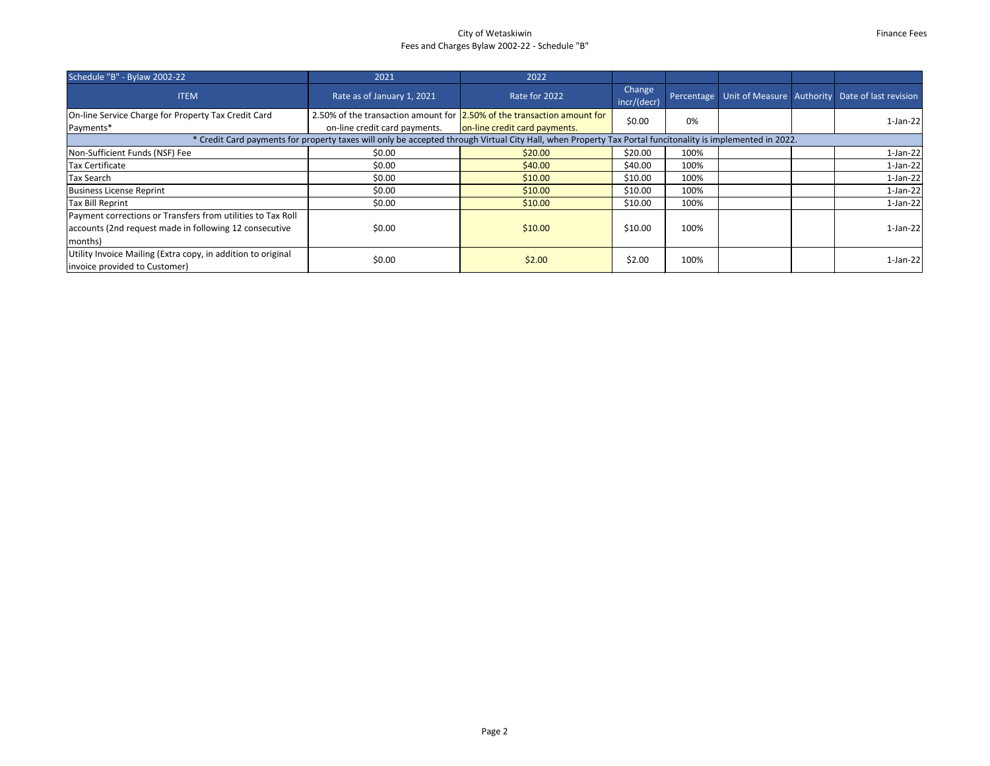## City of Wetaskiwin Fees and Charges Bylaw 2002-22 - Schedule "B"

| Schedule "B" - Bylaw 2002-22                                                                                                     | 2021                                                                                                                                                      | 2022                          |                       |      |  |  |                                                                  |  |
|----------------------------------------------------------------------------------------------------------------------------------|-----------------------------------------------------------------------------------------------------------------------------------------------------------|-------------------------------|-----------------------|------|--|--|------------------------------------------------------------------|--|
| <b>ITEM</b>                                                                                                                      | Rate as of January 1, 2021                                                                                                                                | Rate for 2022                 | Change<br>incr/(decr) |      |  |  | Percentage   Unit of Measure   Authority   Date of last revision |  |
| On-line Service Charge for Property Tax Credit Card<br>Payments*                                                                 | 2.50% of the transaction amount for 2.50% of the transaction amount for<br>on-line credit card payments.                                                  | on-line credit card payments. | \$0.00                | 0%   |  |  | $1-Jan-22$                                                       |  |
|                                                                                                                                  | * Credit Card payments for property taxes will only be accepted through Virtual City Hall, when Property Tax Portal funcitonality is implemented in 2022. |                               |                       |      |  |  |                                                                  |  |
| Non-Sufficient Funds (NSF) Fee                                                                                                   | \$0.00                                                                                                                                                    | \$20.00                       | \$20.00               | 100% |  |  | $1-Jan-22$                                                       |  |
| <b>Tax Certificate</b>                                                                                                           | \$0.00                                                                                                                                                    | \$40.00                       | \$40.00               | 100% |  |  | $1-Jan-22$                                                       |  |
| <b>Tax Search</b>                                                                                                                | \$0.00                                                                                                                                                    | \$10.00                       | \$10.00               | 100% |  |  | $1-Jan-22$                                                       |  |
| <b>Business License Reprint</b>                                                                                                  | \$0.00                                                                                                                                                    | \$10.00                       | \$10.00               | 100% |  |  | $1-Jan-22$                                                       |  |
| <b>Tax Bill Reprint</b>                                                                                                          | \$0.00                                                                                                                                                    | \$10.00                       | \$10.00               | 100% |  |  | $1-Jan-22$                                                       |  |
| Payment corrections or Transfers from utilities to Tax Roll<br>accounts (2nd request made in following 12 consecutive<br>months) | \$0.00                                                                                                                                                    | \$10.00                       | \$10.00               | 100% |  |  | $1-Jan-22$                                                       |  |
| Utility Invoice Mailing (Extra copy, in addition to original<br>invoice provided to Customer)                                    | \$0.00                                                                                                                                                    | \$2.00                        | \$2.00                | 100% |  |  | $1-Jan-22$                                                       |  |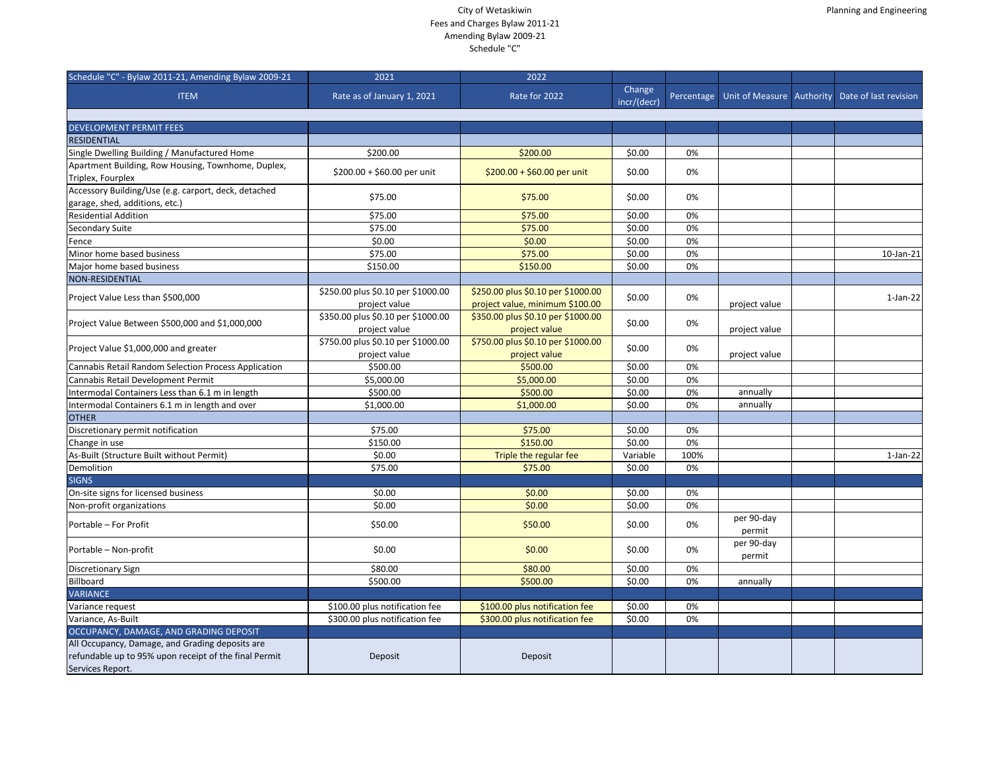| 2021                                                | 2022                                                                                                                                                                                            |                                                                                                                                                                                                                             |                                                                                                                        |                                                                  |                                                                              |                                                     |
|-----------------------------------------------------|-------------------------------------------------------------------------------------------------------------------------------------------------------------------------------------------------|-----------------------------------------------------------------------------------------------------------------------------------------------------------------------------------------------------------------------------|------------------------------------------------------------------------------------------------------------------------|------------------------------------------------------------------|------------------------------------------------------------------------------|-----------------------------------------------------|
| Rate as of January 1, 2021                          | Rate for 2022                                                                                                                                                                                   | Change<br>incr/(decr)                                                                                                                                                                                                       | Percentage                                                                                                             |                                                                  |                                                                              |                                                     |
|                                                     |                                                                                                                                                                                                 |                                                                                                                                                                                                                             |                                                                                                                        |                                                                  |                                                                              |                                                     |
|                                                     |                                                                                                                                                                                                 |                                                                                                                                                                                                                             |                                                                                                                        |                                                                  |                                                                              |                                                     |
|                                                     |                                                                                                                                                                                                 |                                                                                                                                                                                                                             |                                                                                                                        |                                                                  |                                                                              |                                                     |
|                                                     |                                                                                                                                                                                                 |                                                                                                                                                                                                                             |                                                                                                                        |                                                                  |                                                                              |                                                     |
| \$200.00 + \$60.00 per unit                         | \$200.00 + \$60.00 per unit                                                                                                                                                                     | \$0.00                                                                                                                                                                                                                      | 0%                                                                                                                     |                                                                  |                                                                              |                                                     |
| \$75.00                                             | \$75.00                                                                                                                                                                                         | \$0.00                                                                                                                                                                                                                      | 0%                                                                                                                     |                                                                  |                                                                              |                                                     |
| \$75.00                                             | \$75.00                                                                                                                                                                                         | \$0.00                                                                                                                                                                                                                      | 0%                                                                                                                     |                                                                  |                                                                              |                                                     |
| \$75.00                                             | \$75.00                                                                                                                                                                                         | \$0.00                                                                                                                                                                                                                      | 0%                                                                                                                     |                                                                  |                                                                              |                                                     |
|                                                     |                                                                                                                                                                                                 |                                                                                                                                                                                                                             |                                                                                                                        |                                                                  |                                                                              |                                                     |
|                                                     |                                                                                                                                                                                                 |                                                                                                                                                                                                                             |                                                                                                                        |                                                                  |                                                                              | 10-Jan-21                                           |
|                                                     |                                                                                                                                                                                                 |                                                                                                                                                                                                                             |                                                                                                                        |                                                                  |                                                                              |                                                     |
|                                                     |                                                                                                                                                                                                 |                                                                                                                                                                                                                             |                                                                                                                        |                                                                  |                                                                              |                                                     |
| \$250.00 plus \$0.10 per \$1000.00<br>project value | \$250.00 plus \$0.10 per \$1000.00                                                                                                                                                              | \$0.00                                                                                                                                                                                                                      | 0%                                                                                                                     |                                                                  |                                                                              | $1-Jan-22$                                          |
| \$350.00 plus \$0.10 per \$1000.00<br>project value | \$350.00 plus \$0.10 per \$1000.00<br>project value                                                                                                                                             | \$0.00                                                                                                                                                                                                                      | 0%                                                                                                                     | project value                                                    |                                                                              |                                                     |
| \$750.00 plus \$0.10 per \$1000.00                  | \$750.00 plus \$0.10 per \$1000.00                                                                                                                                                              | \$0.00                                                                                                                                                                                                                      | 0%                                                                                                                     |                                                                  |                                                                              |                                                     |
| \$500.00                                            | \$500.00                                                                                                                                                                                        | \$0.00                                                                                                                                                                                                                      | 0%                                                                                                                     |                                                                  |                                                                              |                                                     |
| \$5,000.00                                          | \$5,000.00                                                                                                                                                                                      | \$0.00                                                                                                                                                                                                                      | 0%                                                                                                                     |                                                                  |                                                                              |                                                     |
| \$500.00                                            | \$500.00                                                                                                                                                                                        | \$0.00                                                                                                                                                                                                                      | 0%                                                                                                                     |                                                                  |                                                                              |                                                     |
| \$1,000.00                                          | \$1,000.00                                                                                                                                                                                      | \$0.00                                                                                                                                                                                                                      | 0%                                                                                                                     |                                                                  |                                                                              |                                                     |
|                                                     |                                                                                                                                                                                                 |                                                                                                                                                                                                                             |                                                                                                                        |                                                                  |                                                                              |                                                     |
| \$75.00                                             |                                                                                                                                                                                                 |                                                                                                                                                                                                                             | 0%                                                                                                                     |                                                                  |                                                                              |                                                     |
|                                                     |                                                                                                                                                                                                 |                                                                                                                                                                                                                             |                                                                                                                        |                                                                  |                                                                              |                                                     |
|                                                     |                                                                                                                                                                                                 |                                                                                                                                                                                                                             |                                                                                                                        |                                                                  |                                                                              | $1-Jan-22$                                          |
|                                                     |                                                                                                                                                                                                 |                                                                                                                                                                                                                             |                                                                                                                        |                                                                  |                                                                              |                                                     |
|                                                     |                                                                                                                                                                                                 |                                                                                                                                                                                                                             |                                                                                                                        |                                                                  |                                                                              |                                                     |
|                                                     |                                                                                                                                                                                                 |                                                                                                                                                                                                                             |                                                                                                                        |                                                                  |                                                                              |                                                     |
|                                                     |                                                                                                                                                                                                 |                                                                                                                                                                                                                             |                                                                                                                        |                                                                  |                                                                              |                                                     |
| \$50.00                                             | \$50.00                                                                                                                                                                                         | \$0.00                                                                                                                                                                                                                      | 0%                                                                                                                     | per 90-day                                                       |                                                                              |                                                     |
| \$0.00                                              | \$0.00                                                                                                                                                                                          | \$0.00                                                                                                                                                                                                                      | 0%                                                                                                                     | per 90-day<br>permit                                             |                                                                              |                                                     |
| \$80.00                                             | \$80.00                                                                                                                                                                                         | \$0.00                                                                                                                                                                                                                      | 0%                                                                                                                     |                                                                  |                                                                              |                                                     |
|                                                     |                                                                                                                                                                                                 |                                                                                                                                                                                                                             |                                                                                                                        |                                                                  |                                                                              |                                                     |
|                                                     |                                                                                                                                                                                                 |                                                                                                                                                                                                                             |                                                                                                                        |                                                                  |                                                                              |                                                     |
|                                                     | \$100.00 plus notification fee                                                                                                                                                                  | \$0.00                                                                                                                                                                                                                      | 0%                                                                                                                     |                                                                  |                                                                              |                                                     |
|                                                     |                                                                                                                                                                                                 |                                                                                                                                                                                                                             |                                                                                                                        |                                                                  |                                                                              |                                                     |
|                                                     |                                                                                                                                                                                                 |                                                                                                                                                                                                                             |                                                                                                                        |                                                                  |                                                                              |                                                     |
| Deposit                                             | Deposit                                                                                                                                                                                         |                                                                                                                                                                                                                             |                                                                                                                        |                                                                  |                                                                              |                                                     |
|                                                     | \$200.00<br>\$0.00<br>\$75.00<br>\$150.00<br>project value<br>\$150.00<br>\$0.00<br>\$75.00<br>\$0.00<br>\$0.00<br>\$500.00<br>\$100.00 plus notification fee<br>\$300.00 plus notification fee | \$200.00<br>\$0.00<br>\$75.00<br>\$150.00<br>project value, minimum \$100.00<br>project value<br>\$75.00<br>\$150.00<br>Triple the regular fee<br>\$75.00<br>\$0.00<br>\$0.00<br>\$500.00<br>\$300.00 plus notification fee | \$0.00<br>\$0.00<br>\$0.00<br>\$0.00<br>\$0.00<br>\$0.00<br>Variable<br>\$0.00<br>\$0.00<br>\$0.00<br>\$0.00<br>\$0.00 | 0%<br>0%<br>0%<br>0%<br>0%<br>100%<br>0%<br>0%<br>0%<br>0%<br>0% | project value<br>project value<br>annually<br>annually<br>permit<br>annually | Unit of Measure   Authority   Date of last revision |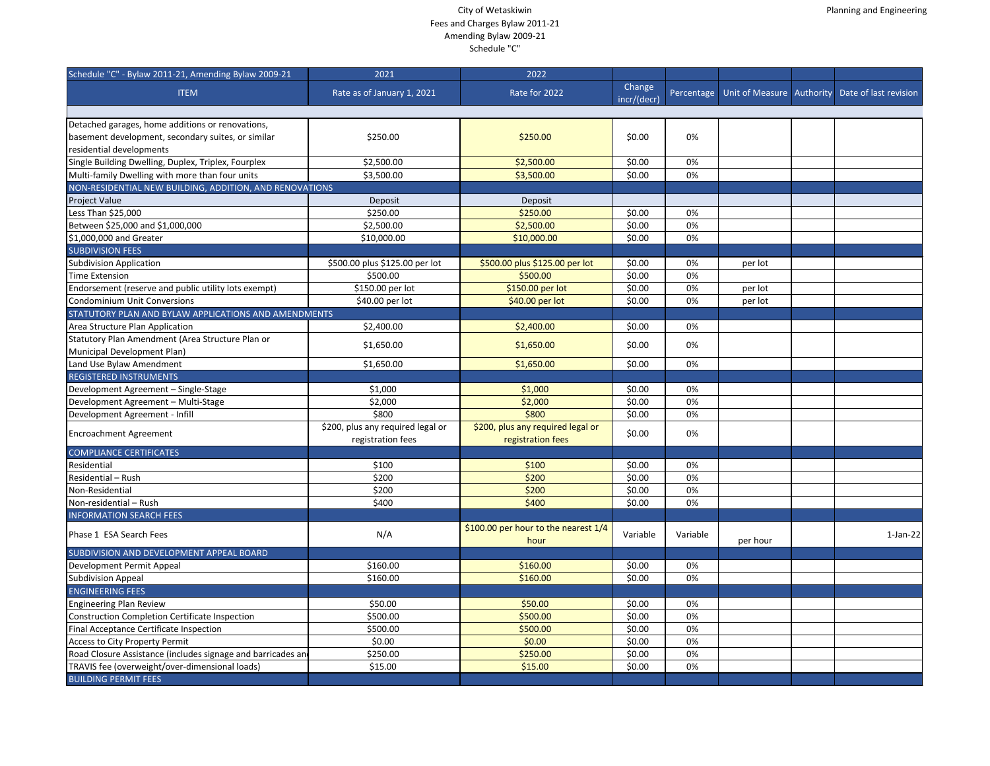| Schedule "C" - Bylaw 2011-21, Amending Bylaw 2009-21         | 2021                              | 2022                                         |                       |            |          |                                                 |
|--------------------------------------------------------------|-----------------------------------|----------------------------------------------|-----------------------|------------|----------|-------------------------------------------------|
| <b>ITEM</b>                                                  | Rate as of January 1, 2021        | Rate for 2022                                | Change<br>incr/(decr) | Percentage |          | Unit of Measure Authority Date of last revision |
|                                                              |                                   |                                              |                       |            |          |                                                 |
| Detached garages, home additions or renovations,             |                                   |                                              |                       |            |          |                                                 |
| basement development, secondary suites, or similar           | \$250.00                          | \$250.00                                     | \$0.00                | 0%         |          |                                                 |
| residential developments                                     |                                   |                                              |                       |            |          |                                                 |
| Single Building Dwelling, Duplex, Triplex, Fourplex          | \$2,500.00                        | \$2,500.00                                   | \$0.00                | 0%         |          |                                                 |
| Multi-family Dwelling with more than four units              | \$3,500.00                        | \$3,500.00                                   | \$0.00                | 0%         |          |                                                 |
| NON-RESIDENTIAL NEW BUILDING, ADDITION, AND RENOVATIONS      |                                   |                                              |                       |            |          |                                                 |
| <b>Project Value</b>                                         | Deposit                           | Deposit                                      |                       |            |          |                                                 |
| Less Than \$25,000                                           | \$250.00                          | \$250.00                                     | \$0.00                | 0%         |          |                                                 |
| Between \$25,000 and \$1,000,000                             | \$2,500.00                        | \$2,500.00                                   | \$0.00                | 0%         |          |                                                 |
| \$1,000,000 and Greater                                      | \$10,000.00                       | \$10,000.00                                  | \$0.00                | 0%         |          |                                                 |
| <b>SUBDIVISION FEES</b>                                      |                                   |                                              |                       |            |          |                                                 |
| <b>Subdivision Application</b>                               | \$500.00 plus \$125.00 per lot    | \$500.00 plus \$125.00 per lot               | \$0.00                | 0%         | per lot  |                                                 |
| <b>Time Extension</b>                                        | \$500.00                          | \$500.00                                     | \$0.00                | 0%         |          |                                                 |
| Endorsement (reserve and public utility lots exempt)         | \$150.00 per lot                  | \$150.00 per lot                             | \$0.00                | 0%         | per lot  |                                                 |
| Condominium Unit Conversions                                 | \$40.00 per lot                   | \$40.00 per lot                              | \$0.00                | 0%         | per lot  |                                                 |
| STATUTORY PLAN AND BYLAW APPLICATIONS AND AMENDMENTS         |                                   |                                              |                       |            |          |                                                 |
| Area Structure Plan Application                              | \$2,400.00                        | \$2,400.00                                   | \$0.00                | 0%         |          |                                                 |
| Statutory Plan Amendment (Area Structure Plan or             |                                   |                                              |                       |            |          |                                                 |
| Municipal Development Plan)                                  | \$1,650.00                        | \$1,650.00                                   | \$0.00                | 0%         |          |                                                 |
| Land Use Bylaw Amendment                                     | \$1,650.00                        | \$1,650.00                                   | \$0.00                | 0%         |          |                                                 |
| <b>REGISTERED INSTRUMENTS</b>                                |                                   |                                              |                       |            |          |                                                 |
| Development Agreement - Single-Stage                         | \$1,000                           | \$1,000                                      | \$0.00                | 0%         |          |                                                 |
| Development Agreement - Multi-Stage                          | \$2,000                           | \$2,000                                      | \$0.00                | 0%         |          |                                                 |
| Development Agreement - Infill                               | \$800                             | \$800                                        | \$0.00                | 0%         |          |                                                 |
|                                                              | \$200, plus any required legal or | \$200, plus any required legal or            |                       |            |          |                                                 |
| <b>Encroachment Agreement</b>                                | registration fees                 | registration fees                            | \$0.00                | 0%         |          |                                                 |
| <b>COMPLIANCE CERTIFICATES</b>                               |                                   |                                              |                       |            |          |                                                 |
| Residential                                                  | \$100                             | \$100                                        | \$0.00                | 0%         |          |                                                 |
| Residential - Rush                                           | \$200                             | \$200                                        | \$0.00                | 0%         |          |                                                 |
| Non-Residential                                              | \$200                             | \$200                                        | \$0.00                | 0%         |          |                                                 |
| Non-residential - Rush                                       | \$400                             | \$400                                        | \$0.00                | 0%         |          |                                                 |
| <b>INFORMATION SEARCH FEES</b>                               |                                   |                                              |                       |            |          |                                                 |
| Phase 1 ESA Search Fees                                      | N/A                               | \$100.00 per hour to the nearest 1/4<br>hour | Variable              | Variable   | per hour | $1$ -Jan-22                                     |
| SUBDIVISION AND DEVELOPMENT APPEAL BOARD                     |                                   |                                              |                       |            |          |                                                 |
| Development Permit Appeal                                    | \$160.00                          | \$160.00                                     | \$0.00                | 0%         |          |                                                 |
| Subdivision Appeal                                           | \$160.00                          | \$160.00                                     | \$0.00                | 0%         |          |                                                 |
| <b>ENGINEERING FEES</b>                                      |                                   |                                              |                       |            |          |                                                 |
| <b>Engineering Plan Review</b>                               | \$50.00                           | \$50.00                                      | \$0.00                | 0%         |          |                                                 |
| <b>Construction Completion Certificate Inspection</b>        | \$500.00                          | \$500.00                                     | \$0.00                | 0%         |          |                                                 |
| Final Acceptance Certificate Inspection                      | \$500.00                          | \$500.00                                     | \$0.00                | 0%         |          |                                                 |
| Access to City Property Permit                               | \$0.00                            | \$0.00                                       | \$0.00                | 0%         |          |                                                 |
| Road Closure Assistance (includes signage and barricades and | \$250.00                          | \$250.00                                     | \$0.00                | 0%         |          |                                                 |
| TRAVIS fee (overweight/over-dimensional loads)               | \$15.00                           | \$15.00                                      | \$0.00                | 0%         |          |                                                 |
| <b>BUILDING PERMIT FEES</b>                                  |                                   |                                              |                       |            |          |                                                 |
|                                                              |                                   |                                              |                       |            |          |                                                 |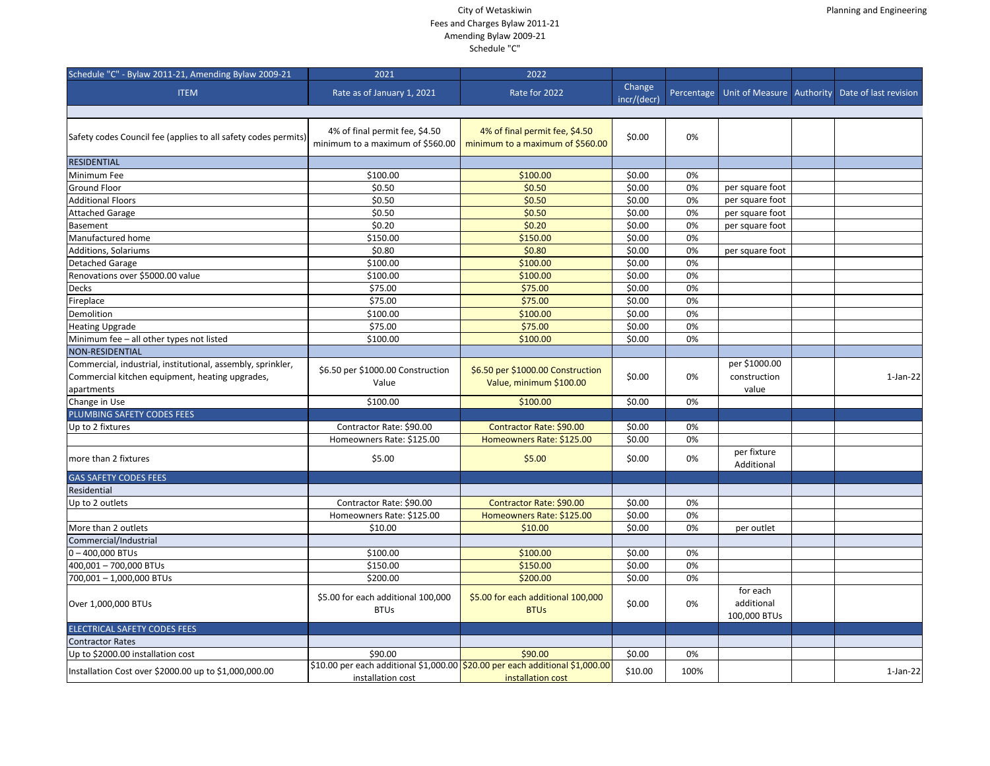| Schedule "C" - Bylaw 2011-21, Amending Bylaw 2009-21                                                                         | 2021                                                               | 2022                                                                                               |                       |            |                                        |                       |
|------------------------------------------------------------------------------------------------------------------------------|--------------------------------------------------------------------|----------------------------------------------------------------------------------------------------|-----------------------|------------|----------------------------------------|-----------------------|
| <b>ITEM</b>                                                                                                                  | Rate as of January 1, 2021                                         | Rate for 2022                                                                                      | Change<br>incr/(decr) | Percentage | Unit of Measure Authority              | Date of last revision |
|                                                                                                                              |                                                                    |                                                                                                    |                       |            |                                        |                       |
| Safety codes Council fee (applies to all safety codes permits)                                                               | 4% of final permit fee, \$4.50<br>minimum to a maximum of \$560.00 | 4% of final permit fee, \$4.50<br>minimum to a maximum of \$560.00                                 | \$0.00                | 0%         |                                        |                       |
| <b>RESIDENTIAL</b>                                                                                                           |                                                                    |                                                                                                    |                       |            |                                        |                       |
| Minimum Fee                                                                                                                  | \$100.00                                                           | \$100.00                                                                                           | \$0.00                | 0%         |                                        |                       |
| <b>Ground Floor</b>                                                                                                          | \$0.50                                                             | \$0.50                                                                                             | \$0.00                | 0%         | per square foot                        |                       |
| <b>Additional Floors</b>                                                                                                     | \$0.50                                                             | \$0.50                                                                                             | \$0.00                | 0%         | per square foot                        |                       |
| <b>Attached Garage</b>                                                                                                       | \$0.50                                                             | \$0.50                                                                                             | \$0.00                | 0%         | per square foot                        |                       |
| Basement                                                                                                                     | \$0.20                                                             | \$0.20                                                                                             | \$0.00                | 0%         | per square foot                        |                       |
| Manufactured home                                                                                                            | \$150.00                                                           | \$150.00                                                                                           | \$0.00                | 0%         |                                        |                       |
| Additions, Solariums                                                                                                         | \$0.80                                                             | \$0.80                                                                                             | \$0.00                | 0%         | per square foot                        |                       |
| Detached Garage                                                                                                              | \$100.00                                                           | \$100.00                                                                                           | \$0.00                | 0%         |                                        |                       |
| Renovations over \$5000.00 value                                                                                             | \$100.00                                                           | \$100.00                                                                                           | \$0.00                | 0%         |                                        |                       |
| <b>Decks</b>                                                                                                                 | \$75.00                                                            | \$75.00                                                                                            | \$0.00                | 0%         |                                        |                       |
| Fireplace                                                                                                                    | \$75.00                                                            | \$75.00                                                                                            | \$0.00                | 0%         |                                        |                       |
| Demolition                                                                                                                   | \$100.00                                                           | \$100.00                                                                                           | \$0.00                | 0%         |                                        |                       |
| <b>Heating Upgrade</b>                                                                                                       | \$75.00                                                            | \$75.00                                                                                            | \$0.00                | 0%         |                                        |                       |
| Minimum fee - all other types not listed                                                                                     | \$100.00                                                           | \$100.00                                                                                           | \$0.00                | 0%         |                                        |                       |
| <b>NON-RESIDENTIAL</b>                                                                                                       |                                                                    |                                                                                                    |                       |            |                                        |                       |
| Commercial, industrial, institutional, assembly, sprinkler,<br>Commercial kitchen equipment, heating upgrades,<br>apartments | \$6.50 per \$1000.00 Construction<br>Value                         | \$6.50 per \$1000.00 Construction<br>Value, minimum \$100.00                                       | \$0.00                | 0%         | per \$1000.00<br>construction<br>value | $1-Jan-22$            |
| Change in Use                                                                                                                | \$100.00                                                           | \$100.00                                                                                           | \$0.00                | 0%         |                                        |                       |
| PLUMBING SAFETY CODES FEES                                                                                                   |                                                                    |                                                                                                    |                       |            |                                        |                       |
| Up to 2 fixtures                                                                                                             | Contractor Rate: \$90.00                                           | Contractor Rate: \$90.00                                                                           | \$0.00                | 0%         |                                        |                       |
|                                                                                                                              | Homeowners Rate: \$125.00                                          | Homeowners Rate: \$125.00                                                                          | \$0.00                | 0%         |                                        |                       |
| more than 2 fixtures                                                                                                         | \$5.00                                                             | \$5.00                                                                                             | \$0.00                | 0%         | per fixture<br>Additional              |                       |
| <b>GAS SAFETY CODES FEES</b>                                                                                                 |                                                                    |                                                                                                    |                       |            |                                        |                       |
| Residential                                                                                                                  |                                                                    |                                                                                                    |                       |            |                                        |                       |
| Up to 2 outlets                                                                                                              | Contractor Rate: \$90.00                                           | Contractor Rate: \$90.00                                                                           | \$0.00                | 0%         |                                        |                       |
|                                                                                                                              | Homeowners Rate: \$125.00                                          | Homeowners Rate: \$125.00                                                                          | \$0.00                | 0%         |                                        |                       |
| More than 2 outlets                                                                                                          | \$10.00                                                            | \$10.00                                                                                            | \$0.00                | 0%         | per outlet                             |                       |
| Commercial/Industrial                                                                                                        |                                                                    |                                                                                                    |                       |            |                                        |                       |
| $ 0 - 400,000$ BTUs                                                                                                          | \$100.00                                                           | \$100.00                                                                                           | \$0.00                | 0%         |                                        |                       |
| 400,001 - 700,000 BTUs                                                                                                       | \$150.00                                                           | \$150.00                                                                                           | \$0.00                | 0%         |                                        |                       |
| 700,001 - 1,000,000 BTUs                                                                                                     | \$200.00                                                           | \$200.00                                                                                           | \$0.00                | 0%         |                                        |                       |
| Over 1,000,000 BTUs                                                                                                          | \$5.00 for each additional 100,000<br><b>BTUs</b>                  | \$5.00 for each additional 100,000<br><b>BTUs</b>                                                  | \$0.00                | 0%         | for each<br>additional<br>100,000 BTUs |                       |
| <b>ELECTRICAL SAFETY CODES FEES</b>                                                                                          |                                                                    |                                                                                                    |                       |            |                                        |                       |
| <b>Contractor Rates</b>                                                                                                      |                                                                    |                                                                                                    |                       |            |                                        |                       |
| Up to \$2000.00 installation cost                                                                                            | \$90.00                                                            | \$90.00                                                                                            | \$0.00                | 0%         |                                        |                       |
| Installation Cost over \$2000.00 up to \$1,000,000.00                                                                        | installation cost                                                  | \$10.00 per each additional \$1,000.00 \$20.00 per each additional \$1,000.00<br>installation cost | \$10.00               | 100%       |                                        | $1$ -Jan-22           |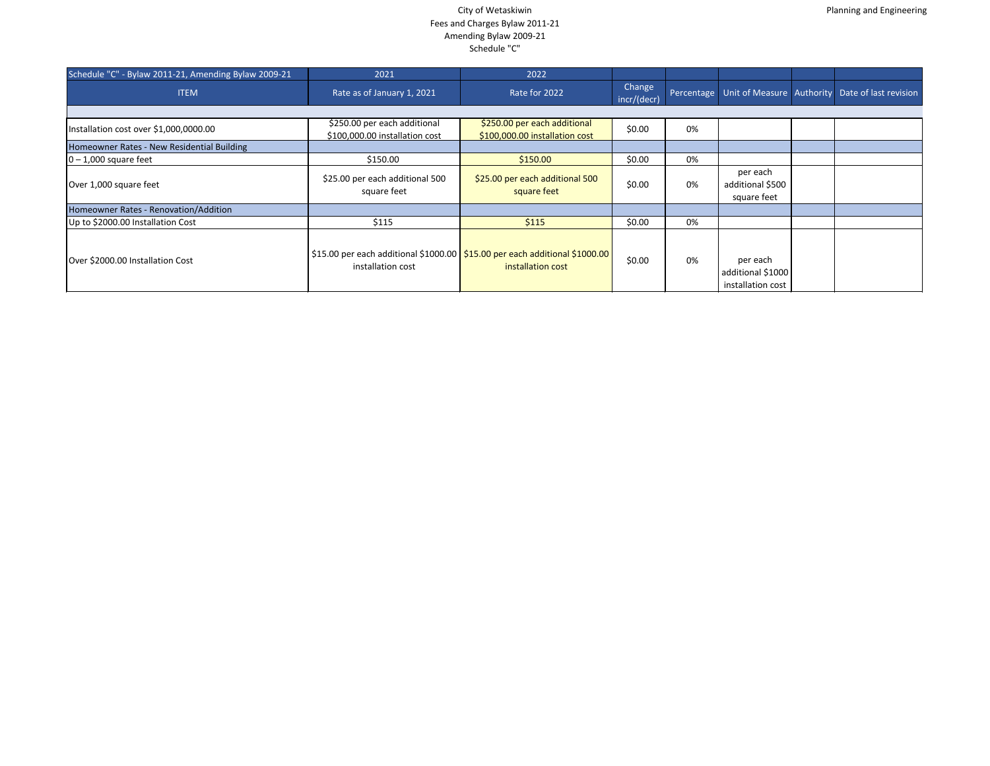| Schedule "C" - Bylaw 2011-21, Amending Bylaw 2009-21 | 2021                                                           | 2022                                                                                             |                       |    |                                                    |                                                                  |
|------------------------------------------------------|----------------------------------------------------------------|--------------------------------------------------------------------------------------------------|-----------------------|----|----------------------------------------------------|------------------------------------------------------------------|
| <b>ITEM</b>                                          | Rate as of January 1, 2021                                     | Rate for 2022                                                                                    | Change<br>incr/(decr) |    |                                                    | Percentage   Unit of Measure   Authority   Date of last revision |
|                                                      |                                                                |                                                                                                  |                       |    |                                                    |                                                                  |
| Installation cost over \$1,000,0000.00               | \$250.00 per each additional<br>\$100,000.00 installation cost | \$250.00 per each additional<br>\$100,000.00 installation cost                                   | \$0.00                | 0% |                                                    |                                                                  |
| Homeowner Rates - New Residential Building           |                                                                |                                                                                                  |                       |    |                                                    |                                                                  |
| $ 0 - 1,000$ square feet                             | \$150.00                                                       | \$150.00                                                                                         | \$0.00                | 0% |                                                    |                                                                  |
| Over 1,000 square feet                               | \$25.00 per each additional 500<br>square feet                 | \$25.00 per each additional 500<br>square feet                                                   | \$0.00                | 0% | per each<br>additional \$500<br>square feet        |                                                                  |
| Homeowner Rates - Renovation/Addition                |                                                                |                                                                                                  |                       |    |                                                    |                                                                  |
| Up to \$2000.00 Installation Cost                    | \$115                                                          | \$115                                                                                            | \$0.00                | 0% |                                                    |                                                                  |
| Over \$2000.00 Installation Cost                     | installation cost                                              | \$15.00 per each additional \$1000.00 \$15.00 per each additional \$1000.00<br>installation cost | \$0.00                | 0% | per each<br>additional \$1000<br>installation cost |                                                                  |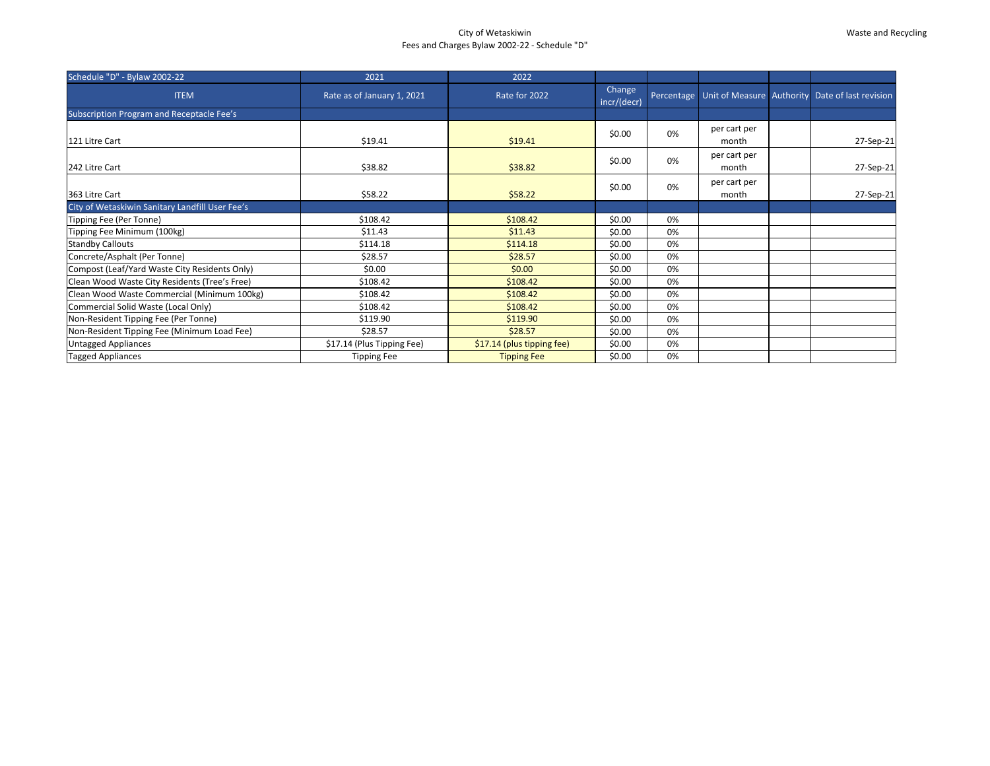# City of Wetaskiwin Fees and Charges Bylaw 2002-22 - Schedule "D"

### Waste and Recycling

| Schedule "D" - Bylaw 2002-22                    | 2021                       | 2022                       |                       |    |                       |                                                                  |
|-------------------------------------------------|----------------------------|----------------------------|-----------------------|----|-----------------------|------------------------------------------------------------------|
| <b>ITEM</b>                                     | Rate as of January 1, 2021 | Rate for 2022              | Change<br>incr/(decr) |    |                       | Percentage   Unit of Measure   Authority   Date of last revision |
| Subscription Program and Receptacle Fee's       |                            |                            |                       |    |                       |                                                                  |
| 121 Litre Cart                                  | \$19.41                    | \$19.41                    | \$0.00                | 0% | per cart per<br>month | 27-Sep-21                                                        |
| 242 Litre Cart                                  | \$38.82                    | \$38.82                    | \$0.00                | 0% | per cart per<br>month | 27-Sep-21                                                        |
| 363 Litre Cart                                  | \$58.22                    | \$58.22                    | \$0.00                | 0% | per cart per<br>month | 27-Sep-21                                                        |
| City of Wetaskiwin Sanitary Landfill User Fee's |                            |                            |                       |    |                       |                                                                  |
| Tipping Fee (Per Tonne)                         | \$108.42                   | \$108.42                   | \$0.00                | 0% |                       |                                                                  |
| Tipping Fee Minimum (100kg)                     | \$11.43                    | \$11.43                    | \$0.00                | 0% |                       |                                                                  |
| <b>Standby Callouts</b>                         | \$114.18                   | \$114.18                   | \$0.00                | 0% |                       |                                                                  |
| Concrete/Asphalt (Per Tonne)                    | \$28.57                    | \$28.57                    | \$0.00                | 0% |                       |                                                                  |
| Compost (Leaf/Yard Waste City Residents Only)   | \$0.00                     | \$0.00                     | \$0.00                | 0% |                       |                                                                  |
| Clean Wood Waste City Residents (Tree's Free)   | \$108.42                   | \$108.42                   | \$0.00                | 0% |                       |                                                                  |
| Clean Wood Waste Commercial (Minimum 100kg)     | \$108.42                   | \$108.42                   | \$0.00                | 0% |                       |                                                                  |
| Commercial Solid Waste (Local Only)             | \$108.42                   | \$108.42                   | \$0.00                | 0% |                       |                                                                  |
| Non-Resident Tipping Fee (Per Tonne)            | \$119.90                   | \$119.90                   | \$0.00                | 0% |                       |                                                                  |
| Non-Resident Tipping Fee (Minimum Load Fee)     | \$28.57                    | \$28.57                    | \$0.00                | 0% |                       |                                                                  |
| <b>Untagged Appliances</b>                      | \$17.14 (Plus Tipping Fee) | \$17.14 (plus tipping fee) | \$0.00                | 0% |                       |                                                                  |
| <b>Tagged Appliances</b>                        | <b>Tipping Fee</b>         | <b>Tipping Fee</b>         | \$0.00                | 0% |                       |                                                                  |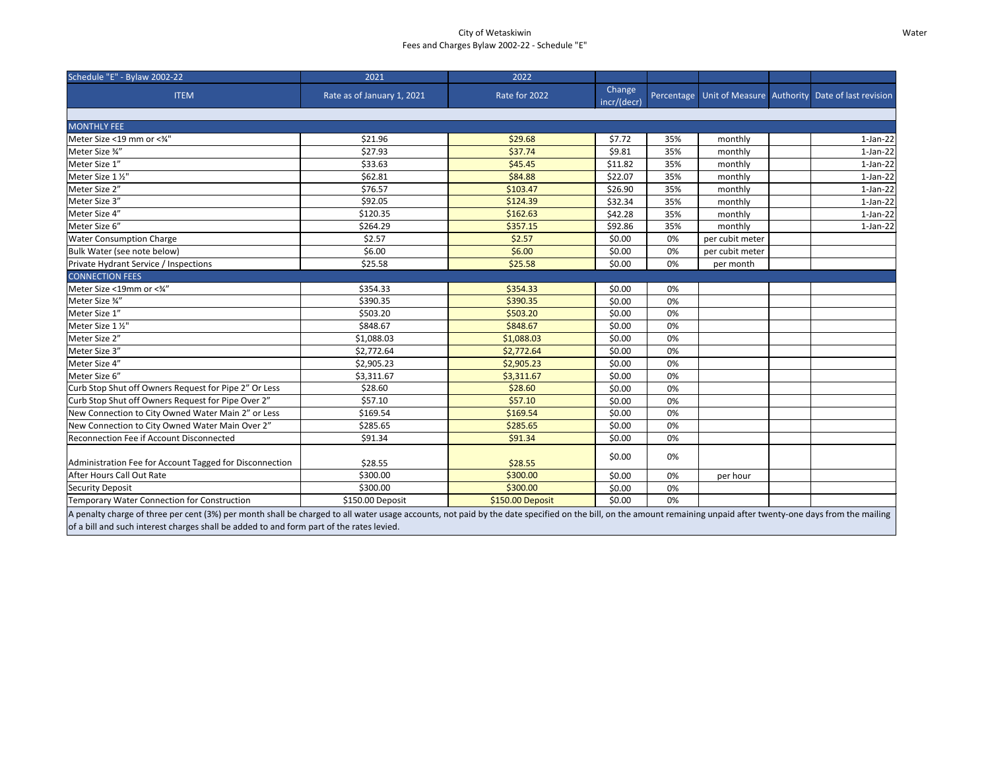# City of Wetaskiwin Fees and Charges Bylaw 2002-22 - Schedule "E"

#### Water

| Schedule "E" - Bylaw 2002-22                                                                                                                                                                                                                                                                                  | 2021                       | 2022             |                       |            |                 |                                                 |
|---------------------------------------------------------------------------------------------------------------------------------------------------------------------------------------------------------------------------------------------------------------------------------------------------------------|----------------------------|------------------|-----------------------|------------|-----------------|-------------------------------------------------|
| <b>ITEM</b>                                                                                                                                                                                                                                                                                                   | Rate as of January 1, 2021 | Rate for 2022    | Change<br>incr/(decr) | Percentage |                 | Unit of Measure Authority Date of last revision |
|                                                                                                                                                                                                                                                                                                               |                            |                  |                       |            |                 |                                                 |
| <b>MONTHLY FEE</b>                                                                                                                                                                                                                                                                                            |                            |                  |                       |            |                 |                                                 |
| Meter Size <19 mm or <3/4"                                                                                                                                                                                                                                                                                    | \$21.96                    | \$29.68          | \$7.72                | 35%        | monthly         | $1-Jan-22$                                      |
| Meter Size 34"                                                                                                                                                                                                                                                                                                | \$27.93                    | \$37.74          | \$9.81                | 35%        | monthly         | $1-Jan-22$                                      |
| Meter Size 1"                                                                                                                                                                                                                                                                                                 | \$33.63                    | \$45.45          | \$11.82               | 35%        | monthly         | $1-Jan-22$                                      |
| Meter Size 1 1/2"                                                                                                                                                                                                                                                                                             | \$62.81                    | \$84.88          | \$22.07               | 35%        | monthly         | $1-Jan-22$                                      |
| Meter Size 2"                                                                                                                                                                                                                                                                                                 | \$76.57                    | \$103.47         | \$26.90               | 35%        | monthly         | $1-Jan-22$                                      |
| Meter Size 3"                                                                                                                                                                                                                                                                                                 | \$92.05                    | \$124.39         | \$32.34               | 35%        | monthly         | $1-Jan-22$                                      |
| Meter Size 4"                                                                                                                                                                                                                                                                                                 | \$120.35                   | \$162.63         | \$42.28               | 35%        | monthly         | $1-Jan-22$                                      |
| Meter Size 6"                                                                                                                                                                                                                                                                                                 | \$264.29                   | \$357.15         | \$92.86               | 35%        | monthly         | $1-Jan-22$                                      |
| <b>Water Consumption Charge</b>                                                                                                                                                                                                                                                                               | \$2.57                     | \$2.57           | \$0.00                | 0%         | per cubit meter |                                                 |
| Bulk Water (see note below)                                                                                                                                                                                                                                                                                   | \$6.00                     | \$6.00           | \$0.00                | 0%         | per cubit meter |                                                 |
| Private Hydrant Service / Inspections                                                                                                                                                                                                                                                                         | \$25.58                    | \$25.58          | \$0.00                | 0%         | per month       |                                                 |
| <b>CONNECTION FEES</b>                                                                                                                                                                                                                                                                                        |                            |                  |                       |            |                 |                                                 |
| Meter Size <19mm or <3/4"                                                                                                                                                                                                                                                                                     | \$354.33                   | \$354.33         | \$0.00                | 0%         |                 |                                                 |
| Meter Size 34"                                                                                                                                                                                                                                                                                                | \$390.35                   | \$390.35         | \$0.00                | 0%         |                 |                                                 |
| Meter Size 1"                                                                                                                                                                                                                                                                                                 | \$503.20                   | \$503.20         | \$0.00                | 0%         |                 |                                                 |
| Meter Size 1 1/2"                                                                                                                                                                                                                                                                                             | \$848.67                   | \$848.67         | \$0.00                | 0%         |                 |                                                 |
| Meter Size 2"                                                                                                                                                                                                                                                                                                 | \$1,088.03                 | \$1,088.03       | \$0.00                | 0%         |                 |                                                 |
| Meter Size 3"                                                                                                                                                                                                                                                                                                 | \$2,772.64                 | \$2,772.64       | \$0.00                | 0%         |                 |                                                 |
| Meter Size 4"                                                                                                                                                                                                                                                                                                 | \$2,905.23                 | \$2,905.23       | \$0.00                | 0%         |                 |                                                 |
| Meter Size 6"                                                                                                                                                                                                                                                                                                 | \$3,311.67                 | \$3,311.67       | \$0.00                | 0%         |                 |                                                 |
| Curb Stop Shut off Owners Request for Pipe 2" Or Less                                                                                                                                                                                                                                                         | \$28.60                    | \$28.60          | \$0.00                | 0%         |                 |                                                 |
| Curb Stop Shut off Owners Request for Pipe Over 2"                                                                                                                                                                                                                                                            | \$57.10                    | \$57.10          | \$0.00                | 0%         |                 |                                                 |
| New Connection to City Owned Water Main 2" or Less                                                                                                                                                                                                                                                            | \$169.54                   | \$169.54         | \$0.00                | 0%         |                 |                                                 |
| New Connection to City Owned Water Main Over 2"                                                                                                                                                                                                                                                               | \$285.65                   | \$285.65         | \$0.00                | 0%         |                 |                                                 |
| Reconnection Fee if Account Disconnected                                                                                                                                                                                                                                                                      | \$91.34                    | \$91.34          | \$0.00                | 0%         |                 |                                                 |
| Administration Fee for Account Tagged for Disconnection                                                                                                                                                                                                                                                       | \$28.55                    | \$28.55          | \$0.00                | 0%         |                 |                                                 |
| After Hours Call Out Rate                                                                                                                                                                                                                                                                                     | \$300.00                   | \$300.00         | \$0.00                | 0%         | per hour        |                                                 |
| <b>Security Deposit</b>                                                                                                                                                                                                                                                                                       | \$300.00                   | \$300.00         | \$0.00                | 0%         |                 |                                                 |
| <b>Temporary Water Connection for Construction</b>                                                                                                                                                                                                                                                            | \$150.00 Deposit           | \$150.00 Deposit | \$0.00                | 0%         |                 |                                                 |
| A penalty charge of three per cent (3%) per month shall be charged to all water usage accounts, not paid by the date specified on the bill, on the amount remaining unpaid after twenty-one days from the mailing<br>of a bill and such interest charges shall be added to and form part of the rates levied. |                            |                  |                       |            |                 |                                                 |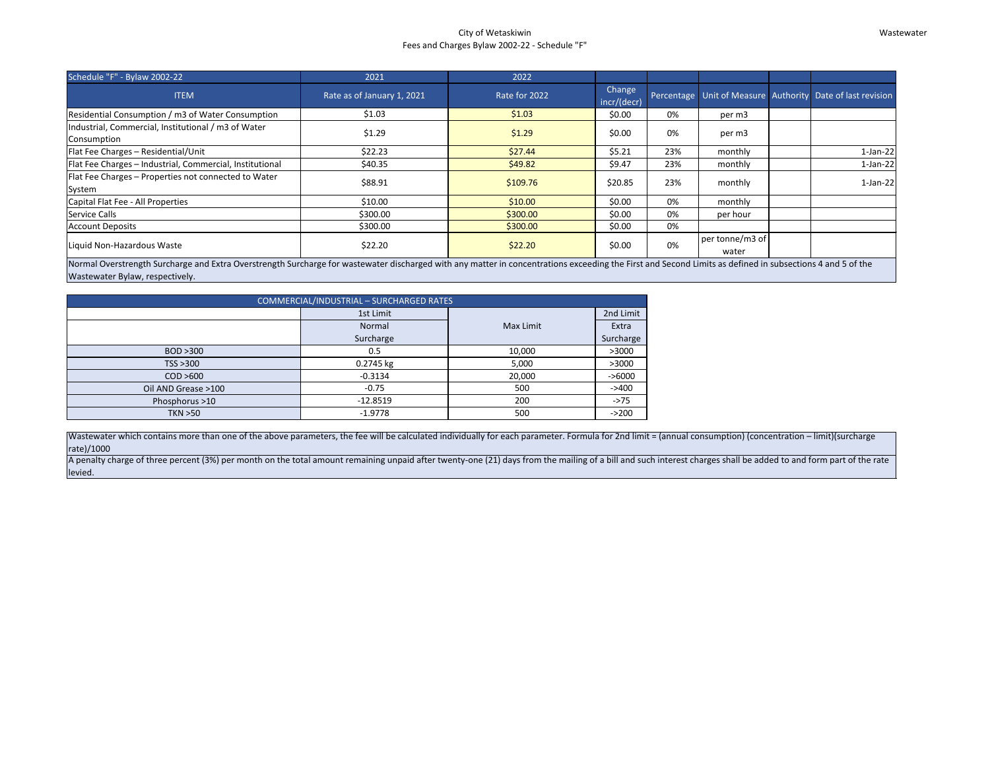#### City of Wetaskiwin Fees and Charges Bylaw 2002-22 - Schedule "F"

#### Wastewater

| Schedule "F" - Bylaw 2002-22                                                                                                                                                                                                                                                                                                                                                                                                               | 2021                       | 2022          |                              |     |                          |  |                                                            |  |
|--------------------------------------------------------------------------------------------------------------------------------------------------------------------------------------------------------------------------------------------------------------------------------------------------------------------------------------------------------------------------------------------------------------------------------------------|----------------------------|---------------|------------------------------|-----|--------------------------|--|------------------------------------------------------------|--|
| <b>ITEM</b>                                                                                                                                                                                                                                                                                                                                                                                                                                | Rate as of January 1, 2021 | Rate for 2022 | <b>Change</b><br>incr/(decr) |     |                          |  | Percentage Unit of Measure Authority Date of last revision |  |
| Residential Consumption / m3 of Water Consumption                                                                                                                                                                                                                                                                                                                                                                                          | \$1.03                     | \$1.03        | \$0.00                       | 0%  | per m3                   |  |                                                            |  |
| Industrial, Commercial, Institutional / m3 of Water<br>Consumption                                                                                                                                                                                                                                                                                                                                                                         | \$1.29                     | \$1.29        | \$0.00                       | 0%  | per m3                   |  |                                                            |  |
| Flat Fee Charges - Residential/Unit                                                                                                                                                                                                                                                                                                                                                                                                        | \$22.23                    | \$27.44       | \$5.21                       | 23% | monthly                  |  | $1-Jan-22$                                                 |  |
| Flat Fee Charges - Industrial, Commercial, Institutional                                                                                                                                                                                                                                                                                                                                                                                   | \$40.35                    | \$49.82       | \$9.47                       | 23% | monthly                  |  | $1-Jan-22$                                                 |  |
| Flat Fee Charges - Properties not connected to Water<br>System                                                                                                                                                                                                                                                                                                                                                                             | \$88.91                    | \$109.76      | \$20.85                      | 23% | monthly                  |  | $1-Jan-22$                                                 |  |
| Capital Flat Fee - All Properties                                                                                                                                                                                                                                                                                                                                                                                                          | \$10.00                    | \$10.00       | \$0.00                       | 0%  | monthly                  |  |                                                            |  |
| <b>Service Calls</b>                                                                                                                                                                                                                                                                                                                                                                                                                       | \$300.00                   | \$300.00      | \$0.00                       | 0%  | per hour                 |  |                                                            |  |
| <b>Account Deposits</b>                                                                                                                                                                                                                                                                                                                                                                                                                    | \$300.00                   | \$300.00      | \$0.00                       | 0%  |                          |  |                                                            |  |
| Liquid Non-Hazardous Waste                                                                                                                                                                                                                                                                                                                                                                                                                 | \$22.20                    | \$22.20       | \$0.00                       | 0%  | per tonne/m3 of<br>water |  |                                                            |  |
| Normal Overstrength Surcharge and Extra Overstrength Surcharge for wastewater discharged with any matter in concentrations exceeding the First and Second Limits as defined in subsections 4 and 5 of the<br>$M$ and $M$ and $M$ and $M$ and $M$ and $M$ and $M$ and $M$ and $M$ and $M$ and $M$ and $M$ and $M$ and $M$ and $M$ and $M$ and $M$ and $M$ and $M$ and $M$ and $M$ and $M$ and $M$ and $M$ and $M$ and $M$ and $M$ and $M$ a |                            |               |                              |     |                          |  |                                                            |  |

Wastewater which contains more than one of the above parameters, the fee will be calculated individually for each parameter. Formula for 2nd limit = (annual consumption) (concentration – limit)(surcharge rate)/1000

A penalty charge of three percent (3%) per month on the total amount remaining unpaid after twenty-one (21) days from the mailing of a bill and such interest charges shall be added to and form part of the rate levied.

Wastewater Bylaw, respectively.

| COMMERCIAL/INDUSTRIAL - SURCHARGED RATES |            |           |           |  |  |  |  |  |  |  |
|------------------------------------------|------------|-----------|-----------|--|--|--|--|--|--|--|
|                                          | 1st Limit  |           | 2nd Limit |  |  |  |  |  |  |  |
|                                          | Normal     | Max Limit | Extra     |  |  |  |  |  |  |  |
|                                          | Surcharge  |           | Surcharge |  |  |  |  |  |  |  |
| BOD >300                                 | 0.5        | 10,000    | >3000     |  |  |  |  |  |  |  |
| TSS > 300                                | 0.2745 kg  | 5,000     | >3000     |  |  |  |  |  |  |  |
| COD > 600                                | $-0.3134$  | 20,000    | $-56000$  |  |  |  |  |  |  |  |
| Oil AND Grease >100                      | $-0.75$    | 500       | $-2400$   |  |  |  |  |  |  |  |
| Phosphorus >10                           | $-12.8519$ | 200       | $-275$    |  |  |  |  |  |  |  |
| <b>TKN &gt;50</b>                        | $-1.9778$  | 500       | $-200$    |  |  |  |  |  |  |  |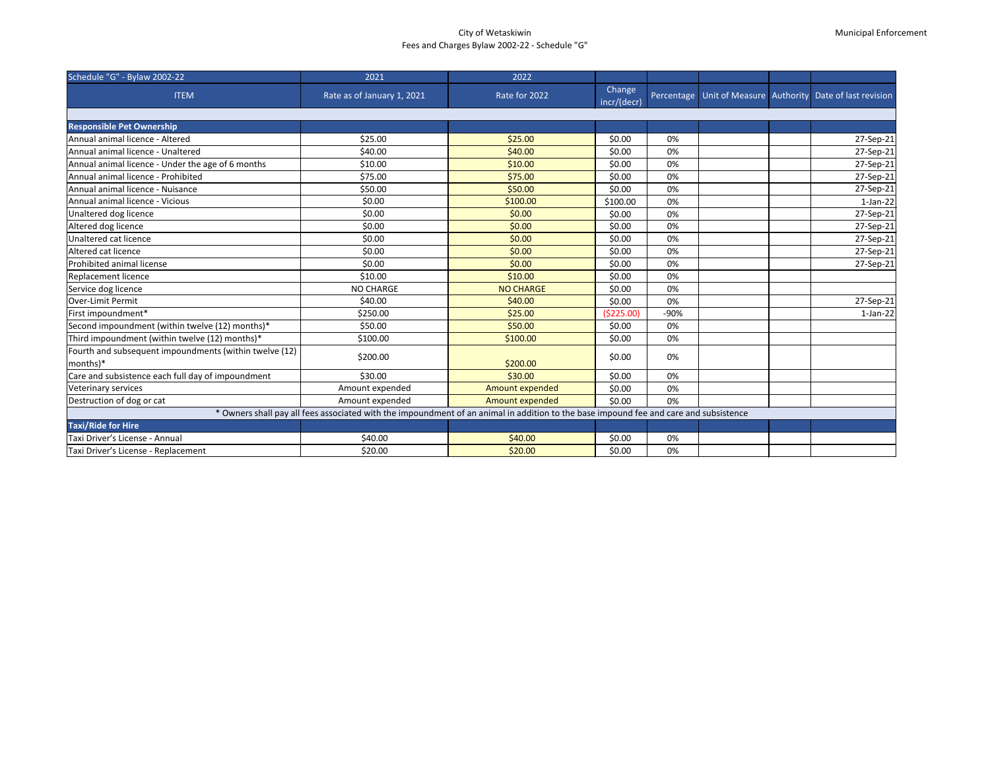# City of Wetaskiwin Fees and Charges Bylaw 2002-22 - Schedule "G"

# Municipal Enforcement

| Schedule "G" - Bylaw 2002-22                                                                                                          | 2021                       | 2022                   |                       |        |  |  |                                                                  |  |
|---------------------------------------------------------------------------------------------------------------------------------------|----------------------------|------------------------|-----------------------|--------|--|--|------------------------------------------------------------------|--|
| <b>ITEM</b>                                                                                                                           | Rate as of January 1, 2021 | Rate for 2022          | Change<br>incr/(decr) |        |  |  | Percentage   Unit of Measure   Authority   Date of last revision |  |
|                                                                                                                                       |                            |                        |                       |        |  |  |                                                                  |  |
| <b>Responsible Pet Ownership</b>                                                                                                      |                            |                        |                       |        |  |  |                                                                  |  |
| Annual animal licence - Altered                                                                                                       | \$25.00                    | \$25.00                | \$0.00                | 0%     |  |  | 27-Sep-21                                                        |  |
| Annual animal licence - Unaltered                                                                                                     | \$40.00                    | \$40.00                | \$0.00                | 0%     |  |  | 27-Sep-21                                                        |  |
| Annual animal licence - Under the age of 6 months                                                                                     | \$10.00                    | \$10.00                | \$0.00                | 0%     |  |  | 27-Sep-21                                                        |  |
| Annual animal licence - Prohibited                                                                                                    | \$75.00                    | \$75.00                | \$0.00                | 0%     |  |  | 27-Sep-21                                                        |  |
| Annual animal licence - Nuisance                                                                                                      | \$50.00                    | \$50.00                | \$0.00                | 0%     |  |  | 27-Sep-21                                                        |  |
| Annual animal licence - Vicious                                                                                                       | \$0.00                     | \$100.00               | \$100.00              | 0%     |  |  | $1$ -Jan-22                                                      |  |
| Unaltered dog licence                                                                                                                 | \$0.00                     | \$0.00                 | \$0.00                | 0%     |  |  | 27-Sep-21                                                        |  |
| Altered dog licence                                                                                                                   | \$0.00                     | \$0.00                 | \$0.00                | 0%     |  |  | 27-Sep-21                                                        |  |
| Unaltered cat licence                                                                                                                 | \$0.00                     | \$0.00                 | \$0.00                | 0%     |  |  | 27-Sep-21                                                        |  |
| Altered cat licence                                                                                                                   | \$0.00                     | \$0.00                 | \$0.00                | 0%     |  |  | 27-Sep-21                                                        |  |
| Prohibited animal license                                                                                                             | \$0.00                     | \$0.00                 | \$0.00                | 0%     |  |  | 27-Sep-21                                                        |  |
| <b>Replacement licence</b>                                                                                                            | \$10.00                    | \$10.00                | \$0.00                | 0%     |  |  |                                                                  |  |
| Service dog licence                                                                                                                   | NO CHARGE                  | <b>NO CHARGE</b>       | \$0.00                | 0%     |  |  |                                                                  |  |
| Over-Limit Permit                                                                                                                     | \$40.00                    | \$40.00                | \$0.00                | 0%     |  |  | 27-Sep-21                                                        |  |
| First impoundment*                                                                                                                    | \$250.00                   | \$25.00                | (\$225.00)            | $-90%$ |  |  | $1$ -Jan-22                                                      |  |
| Second impoundment (within twelve (12) months)*                                                                                       | \$50.00                    | \$50.00                | \$0.00                | 0%     |  |  |                                                                  |  |
| Third impoundment (within twelve (12) months)*                                                                                        | \$100.00                   | \$100.00               | \$0.00                | 0%     |  |  |                                                                  |  |
| Fourth and subsequent impoundments (within twelve (12)<br>months)*                                                                    | \$200.00                   | \$200.00               | \$0.00                | 0%     |  |  |                                                                  |  |
| Care and subsistence each full day of impoundment                                                                                     | \$30.00                    | \$30.00                | \$0.00                | 0%     |  |  |                                                                  |  |
| Veterinary services                                                                                                                   | Amount expended            | Amount expended        | \$0.00                | 0%     |  |  |                                                                  |  |
| Destruction of dog or cat                                                                                                             | Amount expended            | <b>Amount expended</b> | \$0.00                | 0%     |  |  |                                                                  |  |
| * Owners shall pay all fees associated with the impoundment of an animal in addition to the base impound fee and care and subsistence |                            |                        |                       |        |  |  |                                                                  |  |
| <b>Taxi/Ride for Hire</b>                                                                                                             |                            |                        |                       |        |  |  |                                                                  |  |
| Taxi Driver's License - Annual                                                                                                        | \$40.00                    | \$40.00                | \$0.00                | 0%     |  |  |                                                                  |  |
| Taxi Driver's License - Replacement                                                                                                   | \$20.00                    | \$20.00                | \$0.00                | 0%     |  |  |                                                                  |  |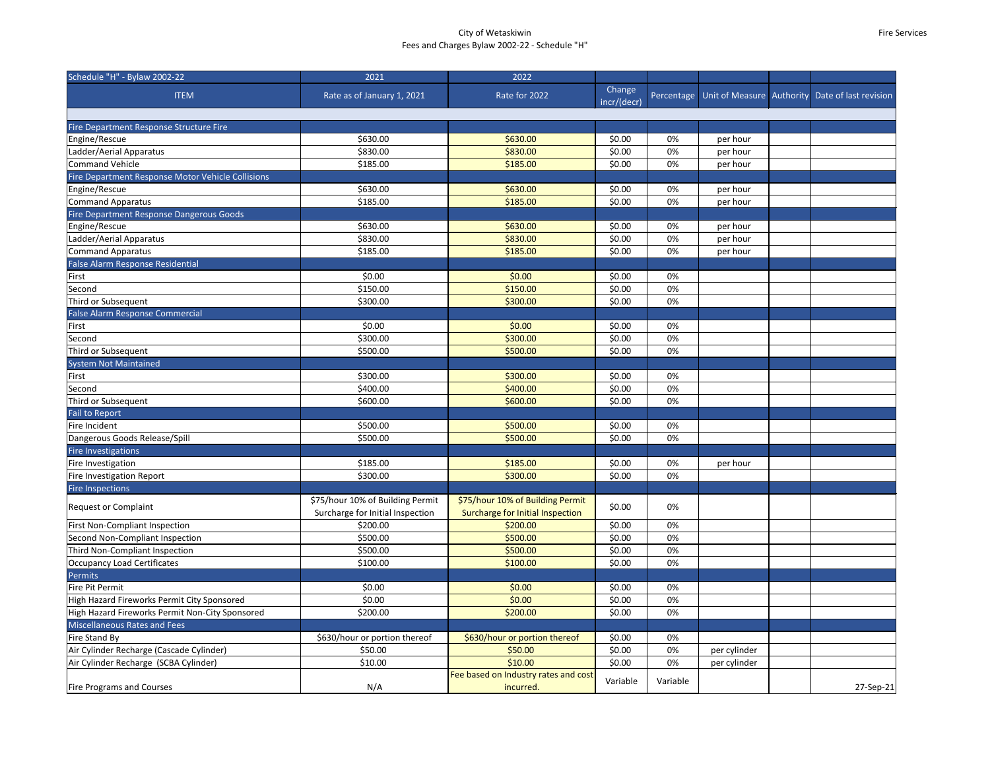### City of Wetaskiwin Fees and Charges Bylaw 2002-22 - Schedule "H"

| Schedule "H" - Bylaw 2002-22                      | 2021                             | 2022                                 |                       |          |              |                                                            |
|---------------------------------------------------|----------------------------------|--------------------------------------|-----------------------|----------|--------------|------------------------------------------------------------|
| <b>ITEM</b>                                       | Rate as of January 1, 2021       | Rate for 2022                        | Change<br>incr/(decr) |          |              | Percentage Unit of Measure Authority Date of last revision |
|                                                   |                                  |                                      |                       |          |              |                                                            |
| Fire Department Response Structure Fire           |                                  |                                      |                       |          |              |                                                            |
| Engine/Rescue                                     | \$630.00                         | \$630.00                             | \$0.00                | 0%       | per hour     |                                                            |
| Ladder/Aerial Apparatus                           | \$830.00                         | \$830.00                             | \$0.00                | 0%       | per hour     |                                                            |
| <b>Command Vehicle</b>                            | \$185.00                         | \$185.00                             | \$0.00                | 0%       | per hour     |                                                            |
| Fire Department Response Motor Vehicle Collisions |                                  |                                      |                       |          |              |                                                            |
| Engine/Rescue                                     | \$630.00                         | \$630.00                             | \$0.00                | 0%       | per hour     |                                                            |
| Command Apparatus                                 | \$185.00                         | \$185.00                             | \$0.00                | 0%       | per hour     |                                                            |
| Fire Department Response Dangerous Goods          |                                  |                                      |                       |          |              |                                                            |
| Engine/Rescue                                     | \$630.00                         | \$630.00                             | \$0.00                | 0%       | per hour     |                                                            |
| Ladder/Aerial Apparatus                           | \$830.00                         | \$830.00                             | \$0.00                | 0%       | per hour     |                                                            |
| Command Apparatus                                 | \$185.00                         | \$185.00                             | \$0.00                | 0%       | per hour     |                                                            |
| False Alarm Response Residential                  |                                  |                                      |                       |          |              |                                                            |
| First                                             | \$0.00                           | \$0.00                               | \$0.00                | 0%       |              |                                                            |
| Second                                            | \$150.00                         | \$150.00                             | \$0.00                | 0%       |              |                                                            |
| Third or Subsequent                               | \$300.00                         | \$300.00                             | \$0.00                | 0%       |              |                                                            |
| <b>False Alarm Response Commercial</b>            |                                  |                                      |                       |          |              |                                                            |
| First                                             | \$0.00                           | \$0.00                               | \$0.00                | 0%       |              |                                                            |
| Second                                            | \$300.00                         | \$300.00                             | \$0.00                | 0%       |              |                                                            |
| Third or Subsequent                               | \$500.00                         | \$500.00                             | \$0.00                | 0%       |              |                                                            |
| System Not Maintained                             |                                  |                                      |                       |          |              |                                                            |
| First                                             | \$300.00                         | \$300.00                             | \$0.00                | 0%       |              |                                                            |
| Second                                            | \$400.00                         | \$400.00                             | \$0.00                | 0%       |              |                                                            |
| Third or Subsequent                               | \$600.00                         | \$600.00                             | \$0.00                | 0%       |              |                                                            |
| <b>Fail to Report</b>                             |                                  |                                      |                       |          |              |                                                            |
| Fire Incident                                     | \$500.00                         | \$500.00                             | \$0.00                | 0%       |              |                                                            |
| Dangerous Goods Release/Spill                     | \$500.00                         | \$500.00                             | \$0.00                | 0%       |              |                                                            |
| <b>Fire Investigations</b>                        |                                  |                                      |                       |          |              |                                                            |
| Fire Investigation                                | \$185.00                         | \$185.00                             | \$0.00                | 0%       | per hour     |                                                            |
| Fire Investigation Report                         | \$300.00                         | \$300.00                             | \$0.00                | 0%       |              |                                                            |
| <b>Fire Inspections</b>                           |                                  |                                      |                       |          |              |                                                            |
|                                                   | \$75/hour 10% of Building Permit | \$75/hour 10% of Building Permit     |                       |          |              |                                                            |
| <b>Request or Complaint</b>                       | Surcharge for Initial Inspection | Surcharge for Initial Inspection     | \$0.00                | 0%       |              |                                                            |
| <b>First Non-Compliant Inspection</b>             | \$200.00                         | \$200.00                             | \$0.00                | 0%       |              |                                                            |
| Second Non-Compliant Inspection                   | \$500.00                         | \$500.00                             | \$0.00                | 0%       |              |                                                            |
| Third Non-Compliant Inspection                    | \$500.00                         | \$500.00                             | \$0.00                | 0%       |              |                                                            |
| Occupancy Load Certificates                       | \$100.00                         | \$100.00                             | \$0.00                | 0%       |              |                                                            |
| Permits                                           |                                  |                                      |                       |          |              |                                                            |
| Fire Pit Permit                                   | \$0.00                           | \$0.00                               | \$0.00                | 0%       |              |                                                            |
| High Hazard Fireworks Permit City Sponsored       | \$0.00                           | \$0.00                               | \$0.00                | 0%       |              |                                                            |
| High Hazard Fireworks Permit Non-City Sponsored   | \$200.00                         | \$200.00                             | \$0.00                | 0%       |              |                                                            |
| <b>Miscellaneous Rates and Fees</b>               |                                  |                                      |                       |          |              |                                                            |
| Fire Stand By                                     | \$630/hour or portion thereof    | \$630/hour or portion thereof        | \$0.00                | 0%       |              |                                                            |
| Air Cylinder Recharge (Cascade Cylinder)          | \$50.00                          | \$50.00                              | \$0.00                | 0%       | per cylinder |                                                            |
| Air Cylinder Recharge (SCBA Cylinder)             | \$10.00                          | \$10.00                              | \$0.00                | 0%       | per cylinder |                                                            |
|                                                   |                                  | Fee based on Industry rates and cost |                       |          |              |                                                            |
| <b>Fire Programs and Courses</b>                  | N/A                              | incurred.                            | Variable              | Variable |              | 27-Sep-21                                                  |
|                                                   |                                  |                                      |                       |          |              |                                                            |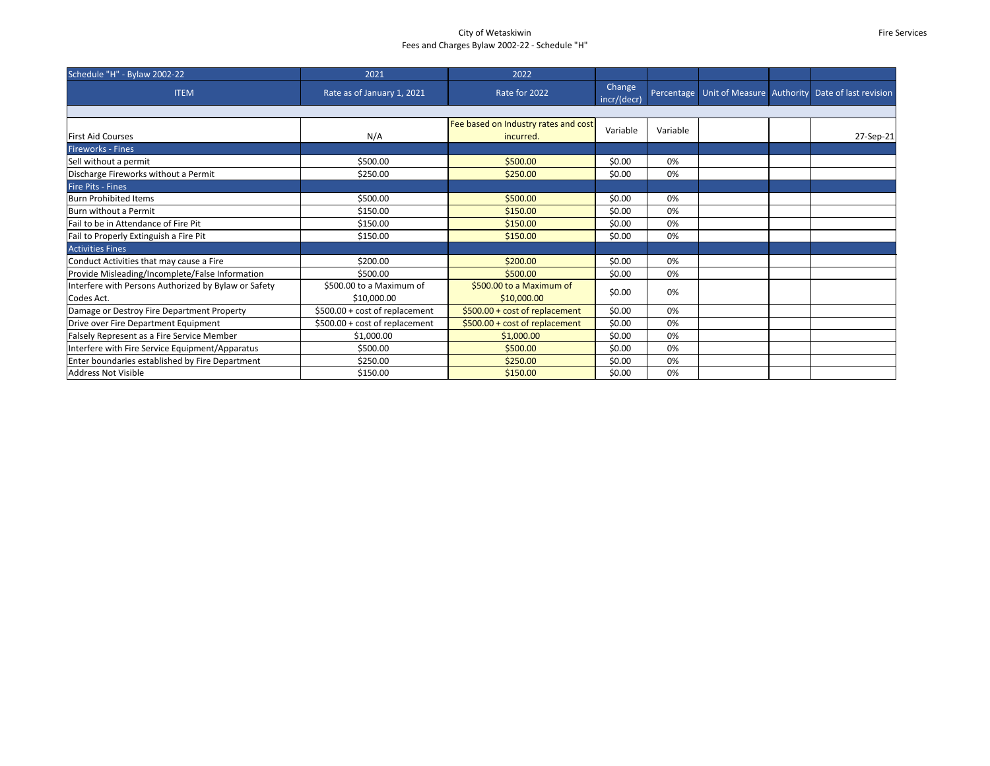### City of Wetaskiwin Fees and Charges Bylaw 2002-22 - Schedule "H"

#### Fire Services

| Schedule "H" - Bylaw 2002-22                                       | 2021                                    | 2022                                              |                       |            |  |                                                 |
|--------------------------------------------------------------------|-----------------------------------------|---------------------------------------------------|-----------------------|------------|--|-------------------------------------------------|
| <b>ITEM</b>                                                        | Rate as of January 1, 2021              | Rate for 2022                                     | Change<br>incr/(decr) | Percentage |  | Unit of Measure Authority Date of last revision |
|                                                                    |                                         |                                                   |                       |            |  |                                                 |
| <b>First Aid Courses</b>                                           | N/A                                     | Fee based on Industry rates and cost<br>incurred. | Variable              | Variable   |  | 27-Sep-21                                       |
| <b>Fireworks - Fines</b>                                           |                                         |                                                   |                       |            |  |                                                 |
| Sell without a permit                                              | \$500.00                                | \$500.00                                          | \$0.00                | 0%         |  |                                                 |
| Discharge Fireworks without a Permit                               | \$250.00                                | \$250.00                                          | \$0.00                | 0%         |  |                                                 |
| <b>Fire Pits - Fines</b>                                           |                                         |                                                   |                       |            |  |                                                 |
| <b>Burn Prohibited Items</b>                                       | \$500.00                                | \$500.00                                          | \$0.00                | 0%         |  |                                                 |
| Burn without a Permit                                              | \$150.00                                | \$150.00                                          | \$0.00                | 0%         |  |                                                 |
| Fail to be in Attendance of Fire Pit                               | \$150.00                                | \$150.00                                          | \$0.00                | 0%         |  |                                                 |
| Fail to Properly Extinguish a Fire Pit                             | \$150.00                                | \$150.00                                          | \$0.00                | 0%         |  |                                                 |
| <b>Activities Fines</b>                                            |                                         |                                                   |                       |            |  |                                                 |
| Conduct Activities that may cause a Fire                           | \$200.00                                | \$200.00                                          | \$0.00                | 0%         |  |                                                 |
| Provide Misleading/Incomplete/False Information                    | \$500.00                                | \$500.00                                          | \$0.00                | 0%         |  |                                                 |
| Interfere with Persons Authorized by Bylaw or Safety<br>Codes Act. | \$500.00 to a Maximum of<br>\$10,000.00 | \$500.00 to a Maximum of<br>\$10,000.00           | \$0.00                | 0%         |  |                                                 |
| Damage or Destroy Fire Department Property                         | \$500.00 + cost of replacement          | \$500.00 + cost of replacement                    | \$0.00                | 0%         |  |                                                 |
| Drive over Fire Department Equipment                               | \$500.00 + cost of replacement          | \$500.00 + cost of replacement                    | \$0.00                | 0%         |  |                                                 |
| Falsely Represent as a Fire Service Member                         | \$1,000.00                              | \$1,000.00                                        | \$0.00                | 0%         |  |                                                 |
| Interfere with Fire Service Equipment/Apparatus                    | \$500.00                                | \$500.00                                          | \$0.00                | 0%         |  |                                                 |
| Enter boundaries established by Fire Department                    | \$250.00                                | \$250.00                                          | \$0.00                | 0%         |  |                                                 |
| Address Not Visible                                                | \$150.00                                | \$150.00                                          | \$0.00                | 0%         |  |                                                 |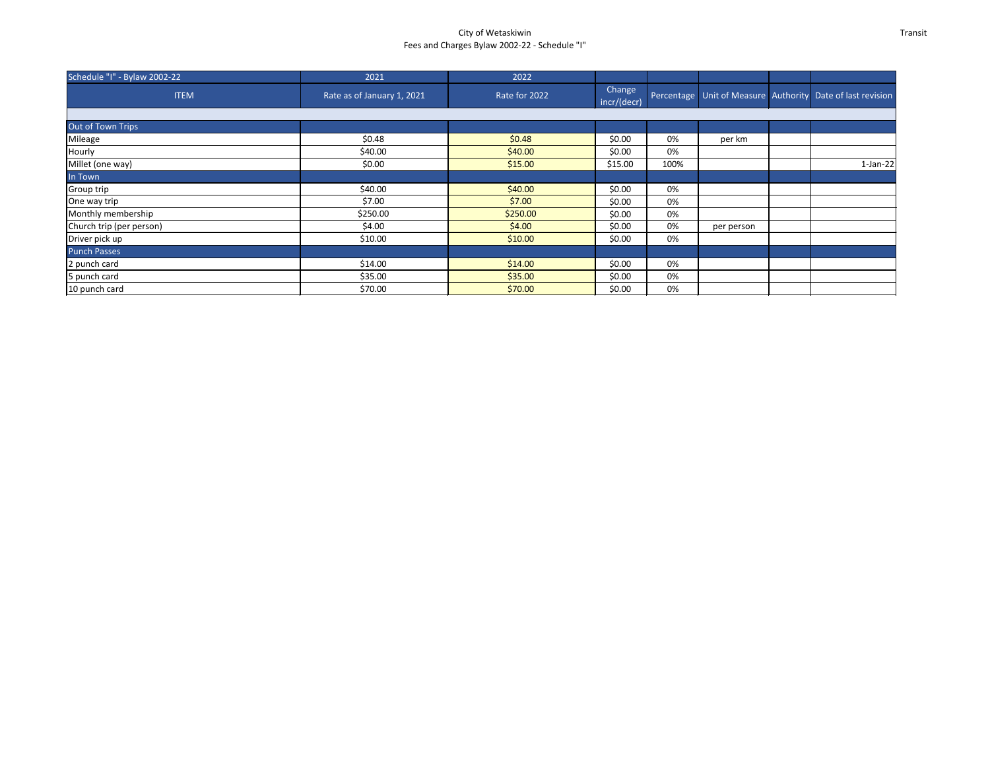# City of Wetaskiwin Fees and Charges Bylaw 2002-22 - Schedule "I"

Transit

| Schedule "I" - Bylaw 2002-22 | 2021                       | 2022          |                       |      |            |                                                            |  |
|------------------------------|----------------------------|---------------|-----------------------|------|------------|------------------------------------------------------------|--|
| <b>ITEM</b>                  | Rate as of January 1, 2021 | Rate for 2022 | Change<br>incr/(decr) |      |            | Percentage Unit of Measure Authority Date of last revision |  |
|                              |                            |               |                       |      |            |                                                            |  |
| Out of Town Trips            |                            |               |                       |      |            |                                                            |  |
| Mileage                      | \$0.48                     | \$0.48        | \$0.00                | 0%   | per km     |                                                            |  |
| Hourly                       | \$40.00                    | \$40.00       | \$0.00                | 0%   |            |                                                            |  |
| Millet (one way)             | \$0.00                     | \$15.00       | \$15.00               | 100% |            | $1-Jan-22$                                                 |  |
| In Town                      |                            |               |                       |      |            |                                                            |  |
| Group trip                   | \$40.00                    | \$40.00       | \$0.00                | 0%   |            |                                                            |  |
| One way trip                 | \$7.00                     | \$7.00        | \$0.00                | 0%   |            |                                                            |  |
| Monthly membership           | \$250.00                   | \$250.00      | \$0.00                | 0%   |            |                                                            |  |
| Church trip (per person)     | \$4.00                     | \$4.00        | \$0.00                | 0%   | per person |                                                            |  |
| Driver pick up               | \$10.00                    | \$10.00       | \$0.00                | 0%   |            |                                                            |  |
| <b>Punch Passes</b>          |                            |               |                       |      |            |                                                            |  |
| 2 punch card                 | \$14.00                    | \$14.00       | \$0.00                | 0%   |            |                                                            |  |
| 5 punch card                 | \$35.00                    | \$35.00       | \$0.00                | 0%   |            |                                                            |  |
| 10 punch card                | \$70.00                    | \$70.00       | \$0.00                | 0%   |            |                                                            |  |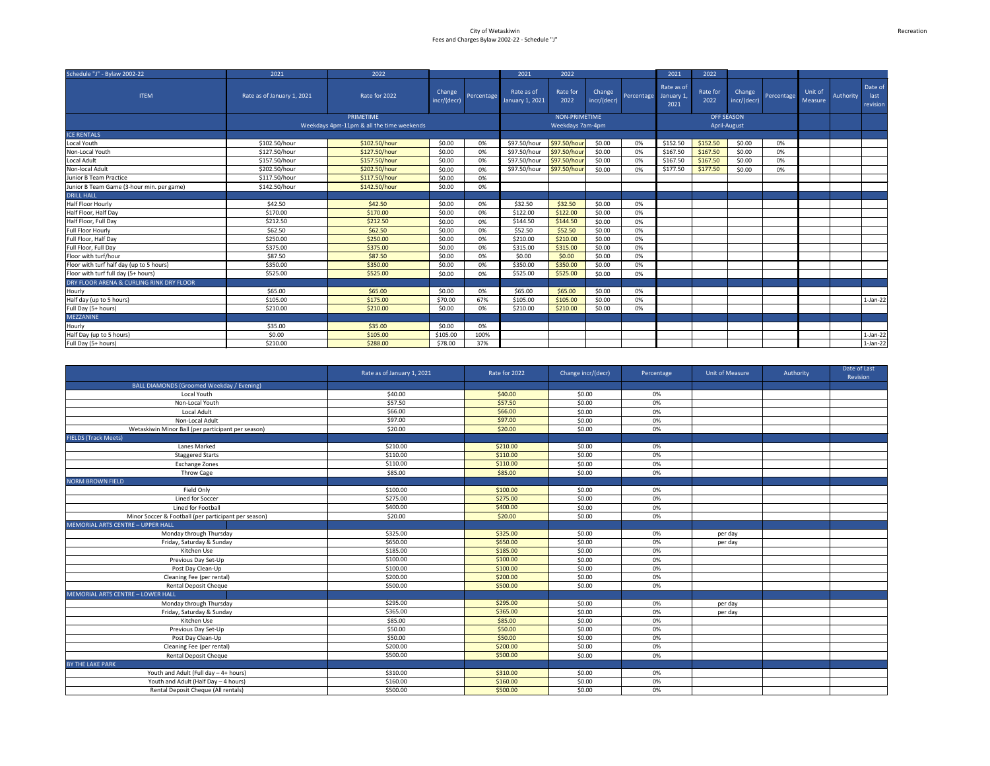| Schedule "J" - Bylaw 2002-22              | 2021                       | 2022                                      |                       |            | 2021                          | 2022             |                       |            | 2021                             | 2022             |                       |            |                    |           |                             |
|-------------------------------------------|----------------------------|-------------------------------------------|-----------------------|------------|-------------------------------|------------------|-----------------------|------------|----------------------------------|------------------|-----------------------|------------|--------------------|-----------|-----------------------------|
| <b>ITEM</b>                               | Rate as of January 1, 2021 | Rate for 2022                             | Change<br>incr/(decr) | Percentage | Rate as of<br>January 1, 2021 | Rate for<br>2022 | Change<br>incr/(decr) | Percentage | Rate as of<br>January 1,<br>2021 | Rate for<br>2022 | Change<br>incr/(decr) | Percentage | Unit of<br>Measure | Authority | Date of<br>last<br>revision |
|                                           |                            | <b>PRIMETIME</b>                          |                       |            |                               | NON-PRIMETIME    |                       |            |                                  |                  | <b>OFF SEASON</b>     |            |                    |           |                             |
|                                           |                            | Weekdays 4pm-11pm & all the time weekends |                       |            |                               | Weekdays 7am-4pm |                       |            |                                  |                  | April-August          |            |                    |           |                             |
| <b>ICE RENTALS</b>                        |                            |                                           |                       |            |                               |                  |                       |            |                                  |                  |                       |            |                    |           |                             |
| Local Youth                               | \$102.50/hour              | \$102.50/hour                             | \$0.00                | 0%         | \$97.50/hour                  | \$97.50/hou      | \$0.00                | 0%         | \$152.50                         | \$152.50         | \$0.00                | 0%         |                    |           |                             |
| Non-Local Youth                           | \$127.50/hour              | \$127.50/hour                             | \$0.00                | 0%         | \$97.50/hour                  | \$97.50/hour     | \$0.00                | 0%         | \$167.50                         | \$167.50         | \$0.00                | 0%         |                    |           |                             |
| Local Adult                               | \$157.50/hour              | \$157.50/hour                             | \$0.00                | 0%         | \$97.50/hour                  | \$97.50/hou      | \$0.00                | 0%         | \$167.50                         | \$167.50         | \$0.00                | 0%         |                    |           |                             |
| Non-local Adult                           | \$202.50/hour              | \$202.50/hour                             | \$0.00                | 0%         | \$97.50/hour                  | \$97.50/hour     | \$0.00                | 0%         | \$177.50                         | \$177.50         | \$0.00                | 0%         |                    |           |                             |
| Junior B Team Practice                    | \$117.50/hour              | \$117.50/hour                             | \$0.00                | 0%         |                               |                  |                       |            |                                  |                  |                       |            |                    |           |                             |
| Junior B Team Game (3-hour min. per game) | \$142.50/hour              | \$142.50/hour                             | \$0.00                | 0%         |                               |                  |                       |            |                                  |                  |                       |            |                    |           |                             |
| <b>DRILL HALL</b>                         |                            |                                           |                       |            |                               |                  |                       |            |                                  |                  |                       |            |                    |           |                             |
| Half Floor Hourly                         | \$42.50                    | \$42.50                                   | \$0.00                | 0%         | \$32.50                       | \$32.50          | \$0.00                | 0%         |                                  |                  |                       |            |                    |           |                             |
| Half Floor, Half Day                      | \$170.00                   | \$170.00                                  | \$0.00                | 0%         | \$122.00                      | \$122.00         | \$0.00                | 0%         |                                  |                  |                       |            |                    |           |                             |
| Half Floor, Full Day                      | \$212.50                   | \$212.50                                  | \$0.00                | 0%         | \$144.50                      | \$144.50         | \$0.00                | 0%         |                                  |                  |                       |            |                    |           |                             |
| <b>Full Floor Hourly</b>                  | \$62.50                    | \$62.50                                   | \$0.00                | 0%         | \$52.50                       | \$52.50          | \$0.00                | 0%         |                                  |                  |                       |            |                    |           |                             |
| Full Floor, Half Day                      | \$250.00                   | \$250.00                                  | \$0.00                | 0%         | \$210.00                      | \$210.00         | \$0.00                | 0%         |                                  |                  |                       |            |                    |           |                             |
| Full Floor, Full Day                      | \$375.00                   | \$375.00                                  | \$0.00                | 0%         | \$315.00                      | \$315.00         | \$0.00                | 0%         |                                  |                  |                       |            |                    |           |                             |
| Floor with turf/hour                      | \$87.50                    | \$87.50                                   | \$0.00                | 0%         | \$0.00                        | \$0.00           | \$0.00                | 0%         |                                  |                  |                       |            |                    |           |                             |
| Floor with turf half day (up to 5 hours)  | \$350.00                   | \$350.00                                  | \$0.00                | 0%         | \$350.00                      | \$350.00         | \$0.00                | 0%         |                                  |                  |                       |            |                    |           |                             |
| Floor with turf full day (5+ hours)       | \$525.00                   | \$525.00                                  | \$0.00                | 0%         | \$525.00                      | \$525.00         | \$0.00                | 0%         |                                  |                  |                       |            |                    |           |                             |
| DRY FLOOR ARENA & CURLING RINK DRY FLOOR  |                            |                                           |                       |            |                               |                  |                       |            |                                  |                  |                       |            |                    |           |                             |
| Hourly                                    | \$65.00                    | \$65.00                                   | \$0.00                | 0%         | \$65.00                       | \$65.00          | \$0.00                | 0%         |                                  |                  |                       |            |                    |           |                             |
| Half day (up to 5 hours)                  | \$105.00                   | \$175.00                                  | \$70.00               | 67%        | \$105.00                      | \$105.00         | \$0.00                | 0%         |                                  |                  |                       |            |                    |           | $1-Jan-22$                  |
| Full Day (5+ hours)                       | \$210.00                   | \$210.00                                  | \$0.00                | 0%         | \$210.00                      | \$210.00         | \$0.00                | 0%         |                                  |                  |                       |            |                    |           |                             |
| <b>MEZZANINE</b>                          |                            |                                           |                       |            |                               |                  |                       |            |                                  |                  |                       |            |                    |           |                             |
| Hourly                                    | \$35.00                    | \$35.00                                   | \$0.00                | 0%         |                               |                  |                       |            |                                  |                  |                       |            |                    |           |                             |
| Half Day (up to 5 hours)                  | \$0.00                     | \$105.00                                  | \$105.00              | 100%       |                               |                  |                       |            |                                  |                  |                       |            |                    |           | $1-Jan-22$                  |
| Full Day (5+ hours)                       | \$210.00                   | \$288.00                                  | \$78.00               | 37%        |                               |                  |                       |            |                                  |                  |                       |            |                    |           | $1-Jan-22$                  |

|                                                      | Rate as of January 1, 2021 | Rate for 2022 | Change incr/(decr) | Percentage | Unit of Measure | Authority | Date of Last<br>Revision |
|------------------------------------------------------|----------------------------|---------------|--------------------|------------|-----------------|-----------|--------------------------|
| <b>BALL DIAMONDS (Groomed Weekday / Evening)</b>     |                            |               |                    |            |                 |           |                          |
| Local Youth                                          | \$40.00                    | \$40.00       | \$0.00             | 0%         |                 |           |                          |
| Non-Local Youth                                      | \$57.50                    | \$57.50       | \$0.00             | 0%         |                 |           |                          |
| Local Adult                                          | \$66.00                    | \$66.00       | \$0.00             | 0%         |                 |           |                          |
| Non-Local Adult                                      | \$97.00                    | \$97.00       | \$0.00             | 0%         |                 |           |                          |
| Wetaskiwin Minor Ball (per participant per season)   | \$20.00                    | \$20.00       | \$0.00             | 0%         |                 |           |                          |
| <b>FIELDS (Track Meets)</b>                          |                            |               |                    |            |                 |           |                          |
| Lanes Marked                                         | \$210.00                   | \$210.00      | \$0.00             | 0%         |                 |           |                          |
| <b>Staggered Starts</b>                              | \$110.00                   | \$110.00      | \$0.00             | 0%         |                 |           |                          |
| <b>Exchange Zones</b>                                | \$110.00                   | \$110.00      | \$0.00             | 0%         |                 |           |                          |
| Throw Cage                                           | \$85.00                    | \$85.00       | \$0.00             | 0%         |                 |           |                          |
| <b>NORM BROWN FIELD</b>                              |                            |               |                    |            |                 |           |                          |
| Field Only                                           | \$100.00                   | \$100.00      | \$0.00             | 0%         |                 |           |                          |
| Lined for Soccer                                     | \$275.00                   | \$275.00      | \$0.00             | 0%         |                 |           |                          |
| Lined for Football                                   | \$400.00                   | \$400.00      | \$0.00             | 0%         |                 |           |                          |
| Minor Soccer & Football (per participant per season) | \$20.00                    | \$20.00       | \$0.00             | 0%         |                 |           |                          |
| MEMORIAL ARTS CENTRE - UPPER HALL                    |                            |               |                    |            |                 |           |                          |
| Monday through Thursday                              | \$325.00                   | \$325.00      | \$0.00             | 0%         | per day         |           |                          |
| Friday, Saturday & Sunday                            | \$650.00                   | \$650.00      | \$0.00             | 0%         | per day         |           |                          |
| Kitchen Use                                          | \$185.00                   | \$185.00      | \$0.00             | 0%         |                 |           |                          |
| Previous Day Set-Up                                  | \$100.00                   | \$100.00      | \$0.00             | 0%         |                 |           |                          |
| Post Day Clean-Up                                    | \$100.00                   | \$100.00      | \$0.00             | 0%         |                 |           |                          |
| Cleaning Fee (per rental)                            | \$200.00                   | \$200.00      | \$0.00             | 0%         |                 |           |                          |
| <b>Rental Deposit Cheque</b>                         | \$500.00                   | \$500.00      | \$0.00             | 0%         |                 |           |                          |
| <b>MEMORIAL ARTS CENTRE - LOWER HALL</b>             |                            |               |                    |            |                 |           |                          |
| Monday through Thursday                              | \$295.00                   | \$295.00      | \$0.00             | 0%         | per day         |           |                          |
| Friday, Saturday & Sunday                            | \$365.00                   | \$365.00      | \$0.00             | 0%         | per day         |           |                          |
| Kitchen Use                                          | \$85.00                    | \$85.00       | \$0.00             | 0%         |                 |           |                          |
| Previous Day Set-Up                                  | \$50.00                    | \$50.00       | \$0.00             | 0%         |                 |           |                          |
| Post Day Clean-Up                                    | \$50.00                    | \$50.00       | \$0.00             | 0%         |                 |           |                          |
| Cleaning Fee (per rental)                            | \$200.00                   | \$200.00      | \$0.00             | 0%         |                 |           |                          |
| <b>Rental Deposit Cheque</b>                         | \$500.00                   | \$500.00      | \$0.00             | 0%         |                 |           |                          |
| BY THE LAKE PARK                                     |                            |               |                    |            |                 |           |                          |
| Youth and Adult (Full day - 4+ hours)                | \$310.00                   | \$310.00      | \$0.00             | 0%         |                 |           |                          |
| Youth and Adult (Half Day - 4 hours)                 | \$160.00                   | \$160.00      | \$0.00             | 0%         |                 |           |                          |
| Rental Deposit Cheque (All rentals)                  | \$500.00                   | \$500.00      | \$0.00             | 0%         |                 |           |                          |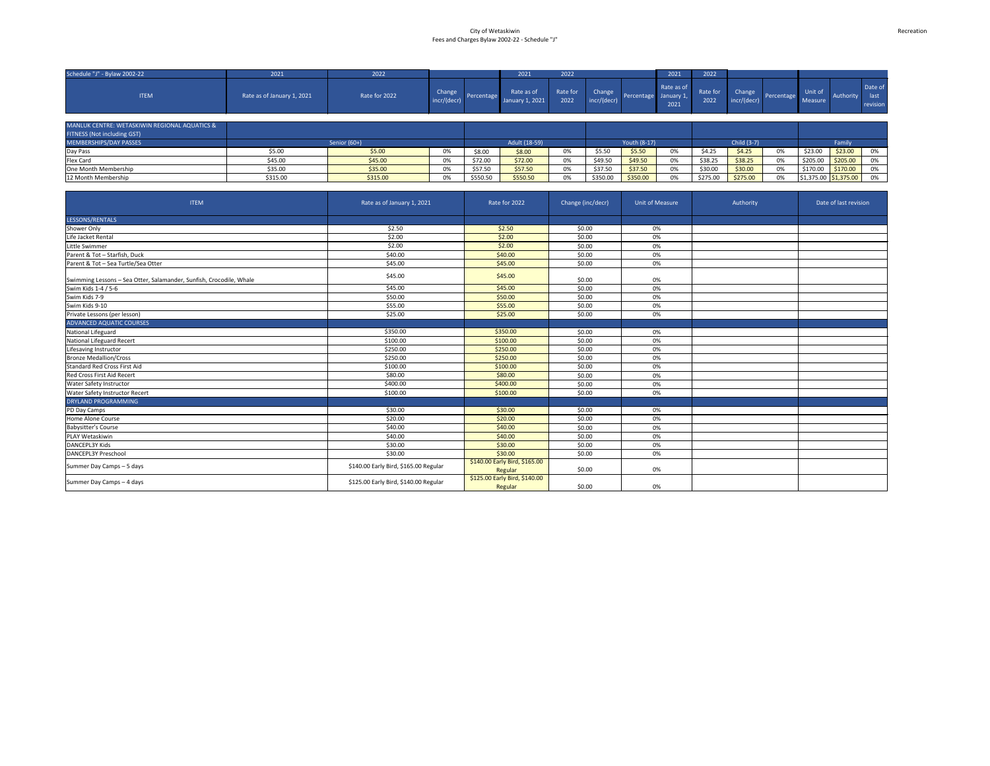| Schedule "J" - Bylaw 2002-22                  | 2021                       | 2022          |                       |            | 2021                          | 2022             |                       |              | 2021                             | 2022             |                       |                    |                                                   |           |                             |
|-----------------------------------------------|----------------------------|---------------|-----------------------|------------|-------------------------------|------------------|-----------------------|--------------|----------------------------------|------------------|-----------------------|--------------------|---------------------------------------------------|-----------|-----------------------------|
| <b>ITEM</b>                                   | Rate as of January 1, 2021 | Rate for 2022 | Change<br>incr/(decr) | Percentage | Rate as of<br>January 1, 2021 | Rate for<br>2022 | Change<br>incr/(decr) | Percentage   | Rate as of<br>January 1,<br>2021 | Rate for<br>2022 | Change<br>incr/(decr) | Percentage Measure | Unit of                                           | Authority | Date of<br>last<br>revision |
| MANLUK CENTRE: WETASKIWIN REGIONAL AQUATICS & |                            |               |                       |            |                               |                  |                       |              |                                  |                  |                       |                    |                                                   |           |                             |
| FITNESS (Not including GST)                   |                            |               |                       |            |                               |                  |                       |              |                                  |                  |                       |                    |                                                   |           |                             |
| MEMBERSHIPS/DAY PASSES                        |                            | Senior (60+)  |                       |            | Adult (18-59)                 |                  |                       | Youth (8-17) |                                  |                  | Child (3-7)           |                    |                                                   | Family    |                             |
| Day Pass                                      | \$5.00                     | \$5.00        | 0%                    | \$8.00     | \$8.00                        | 0%               | \$5.50                | \$5.50       | 0%                               | \$4.25           | \$4.25                | 0%                 | \$23.00                                           | \$23.00   | 0%                          |
| Flex Card                                     | \$45.00                    | \$45.00       | 0%                    | \$72.00    | \$72.00                       | 0%               | \$49.50               | \$49.50      | 0%                               | \$38.25          | \$38.25               | 0%                 | \$205.00                                          | \$205.00  | 0%                          |
| One Month Membership                          | \$35.00                    | \$35.00       | 0%                    | \$57.50    | \$57.50                       | 0%               | \$37.50               | \$37.50      | 0%                               | \$30.00          | \$30.00               | 0%                 | \$170.00                                          | \$170.00  | 0%                          |
| 12 Month Membership                           | \$315.00                   | \$315.00      | 0%                    | \$550.50   | \$550.50                      | 0%               | \$350.00              | \$350.00     | 0%                               | \$275.00         | \$275.00              | 0%                 | $\frac{1}{2}$ \$1,375.00 $\frac{1}{2}$ \$1,375.00 |           | 0%                          |

| <b>ITEM</b>                                                         | Rate as of January 1, 2021            | Rate for 2022                            | Change (inc/decr) | <b>Unit of Measure</b> | Authority | Date of last revision |
|---------------------------------------------------------------------|---------------------------------------|------------------------------------------|-------------------|------------------------|-----------|-----------------------|
| LESSONS/RENTALS                                                     |                                       |                                          |                   |                        |           |                       |
| Shower Only                                                         | \$2.50                                | \$2.50                                   | \$0.00            | 0%                     |           |                       |
| Life Jacket Rental                                                  | \$2.00                                | \$2.00                                   | \$0.00            | 0%                     |           |                       |
| Little Swimmer                                                      | \$2.00                                | \$2.00                                   | \$0.00            | 0%                     |           |                       |
| Parent & Tot - Starfish, Duck                                       | \$40.00                               | \$40.00                                  | \$0.00            | 0%                     |           |                       |
| Parent & Tot - Sea Turtle/Sea Otter                                 | \$45.00                               | \$45.00                                  | \$0.00            | 0%                     |           |                       |
| Swimming Lessons - Sea Otter, Salamander, Sunfish, Crocodile, Whale | \$45.00                               | \$45.00                                  | \$0.00            | 0%                     |           |                       |
| Swim Kids 1-4 / 5-6                                                 | \$45.00                               | \$45.00                                  | \$0.00            | 0%                     |           |                       |
| Swim Kids 7-9                                                       | \$50.00                               | \$50.00                                  | \$0.00            | 0%                     |           |                       |
| Swim Kids 9-10                                                      | \$55.00                               | \$55.00                                  | \$0.00            | 0%                     |           |                       |
| Private Lessons (per lesson)                                        | \$25.00                               | \$25.00                                  | \$0.00            | 0%                     |           |                       |
| <b>ADVANCED AQUATIC COURSES</b>                                     |                                       |                                          |                   |                        |           |                       |
| National Lifeguard                                                  | \$350.00                              | \$350.00                                 | \$0.00            | 0%                     |           |                       |
| <b>National Lifeguard Recert</b>                                    | \$100.00                              | \$100.00                                 | \$0.00            | 0%                     |           |                       |
| Lifesaving Instructor                                               | \$250.00                              | \$250.00                                 | \$0.00            | 0%                     |           |                       |
| <b>Bronze Medallion/Cross</b>                                       | \$250.00                              | \$250.00                                 | \$0.00            | 0%                     |           |                       |
| Standard Red Cross First Aid                                        | \$100.00                              | \$100.00                                 | \$0.00            | 0%                     |           |                       |
| <b>Red Cross First Aid Recert</b>                                   | \$80.00                               | \$80.00                                  | \$0.00            | 0%                     |           |                       |
| <b>Water Safety Instructor</b>                                      | \$400.00                              | \$400.00                                 | \$0.00            | 0%                     |           |                       |
| <b>Water Safety Instructor Recert</b>                               | \$100.00                              | \$100.00                                 | \$0.00            | 0%                     |           |                       |
| DRYLAND PROGRAMMING                                                 |                                       |                                          |                   |                        |           |                       |
| PD Day Camps                                                        | \$30.00                               | \$30.00                                  | \$0.00            | 0%                     |           |                       |
| Home Alone Course                                                   | \$20.00                               | \$20.00                                  | \$0.00            | 0%                     |           |                       |
| <b>Babysitter's Course</b>                                          | \$40.00                               | \$40.00                                  | \$0.00            | 0%                     |           |                       |
| PLAY Wetaskiwin                                                     | \$40.00                               | \$40.00                                  | \$0.00            | 0%                     |           |                       |
| DANCEPL3Y Kids                                                      | \$30.00                               | \$30.00                                  | \$0.00            | 0%                     |           |                       |
| <b>DANCEPL3Y Preschool</b>                                          | \$30.00                               | \$30.00                                  | \$0.00            | 0%                     |           |                       |
| Summer Day Camps - 5 days                                           | \$140.00 Early Bird, \$165.00 Regular | \$140.00 Early Bird, \$165.00<br>Regular | \$0.00            | 0%                     |           |                       |
| Summer Day Camps - 4 days                                           | \$125.00 Early Bird, \$140.00 Regular | \$125.00 Early Bird, \$140.00<br>Regular | \$0.00            | 0%                     |           |                       |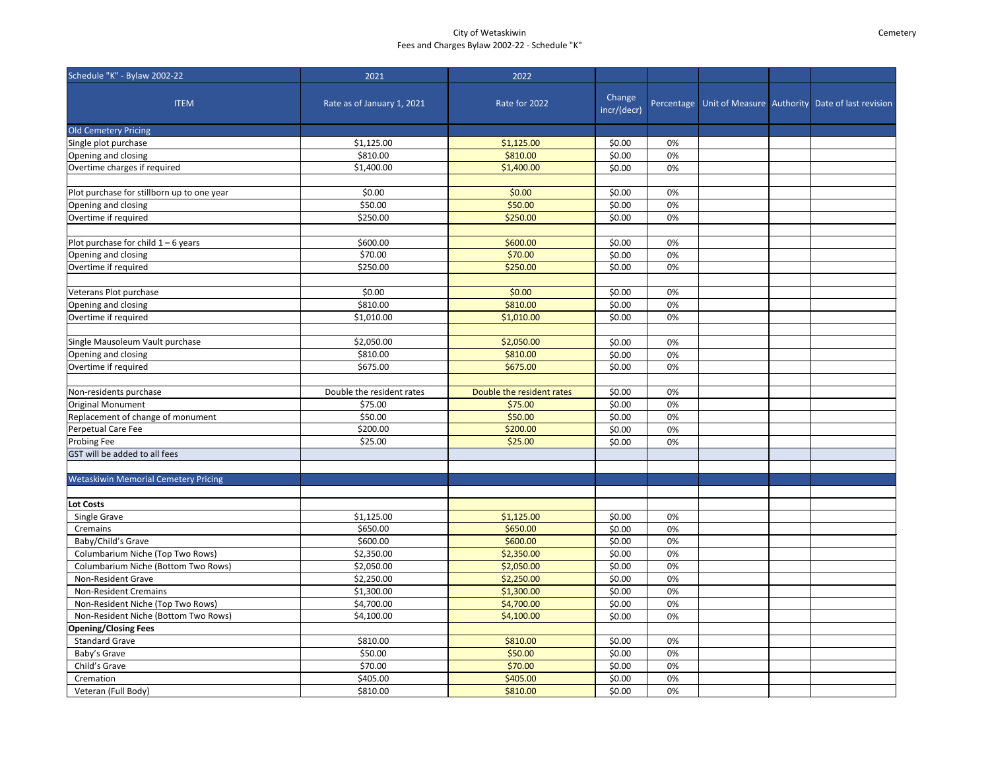# City of Wetaskiwin Fees and Charges Bylaw 2002-22 - Schedule "K"

Cemetery

| Change<br>Percentage Unit of Measure Authority Date of last revision<br><b>ITEM</b><br>Rate as of January 1, 2021<br>Rate for 2022<br>incr/(decr)<br>\$1,125.00<br>\$0.00<br>0%<br>\$1,125.00<br>\$0.00<br>0%<br>Opening and closing<br>\$810.00<br>\$810.00<br>\$1,400.00<br>\$1,400.00<br>\$0.00<br>0%<br>\$0.00<br>\$0.00<br>\$0.00<br>0%<br>\$50.00<br>\$0.00<br>\$50.00<br>0%<br>\$250.00<br>\$0.00<br>0%<br>\$250.00<br>\$600.00<br>\$600.00<br>\$0.00<br>0%<br>\$70.00<br>\$70.00<br>\$0.00<br>0%<br>\$250.00<br>\$250.00<br>\$0.00<br>0%<br>\$0.00<br>\$0.00<br>\$0.00<br>0%<br>\$810.00<br>\$810.00<br>\$0.00<br>0%<br>\$1,010.00<br>\$1,010.00<br>0%<br>\$0.00<br>\$0.00<br>\$2,050.00<br>\$2,050.00<br>0%<br>\$810.00<br>\$810.00<br>\$0.00<br>0%<br>\$675.00<br>\$675.00<br>\$0.00<br>0%<br>\$0.00<br>Double the resident rates<br>Double the resident rates<br>0%<br>\$0.00<br>0%<br>\$75.00<br>\$75.00<br>0%<br>\$50.00<br>\$50.00<br>\$0.00<br>\$200.00<br>\$0.00<br>0%<br>\$200.00<br>\$25.00<br>\$25.00<br>\$0.00<br>0%<br>Single Grave<br>\$1,125.00<br>\$1,125.00<br>\$0.00<br>0%<br>\$650.00<br>\$650.00<br>\$0.00<br>0%<br>Cremains<br>Baby/Child's Grave<br>\$600.00<br>\$600.00<br>\$0.00<br>0%<br>Columbarium Niche (Top Two Rows)<br>\$2,350.00<br>\$2,350.00<br>\$0.00<br>0%<br>Columbarium Niche (Bottom Two Rows)<br>\$2,050.00<br>\$2,050.00<br>\$0.00<br>0%<br>Non-Resident Grave<br>\$2,250.00<br>\$2,250.00<br>\$0.00<br>0%<br>\$1,300.00<br>\$1,300.00<br>\$0.00<br><b>Non-Resident Cremains</b><br>0%<br>Non-Resident Niche (Top Two Rows)<br>\$4,700.00<br>\$4,700.00<br>\$0.00<br>0%<br>Non-Resident Niche (Bottom Two Rows)<br>\$4,100.00<br>\$4,100.00<br>0%<br>\$0.00<br><b>Standard Grave</b><br>\$810.00<br>\$810.00<br>\$0.00<br>0%<br>\$0.00<br>0%<br>\$50.00<br>Baby's Grave<br>\$50.00<br>\$0.00<br>0%<br>\$70.00<br>\$70.00<br>Child's Grave<br>\$405.00<br>\$0.00<br>Cremation<br>\$405.00<br>0% | Schedule "K" - Bylaw 2002-22                | 2021     | 2022     |        |    |  |  |
|-------------------------------------------------------------------------------------------------------------------------------------------------------------------------------------------------------------------------------------------------------------------------------------------------------------------------------------------------------------------------------------------------------------------------------------------------------------------------------------------------------------------------------------------------------------------------------------------------------------------------------------------------------------------------------------------------------------------------------------------------------------------------------------------------------------------------------------------------------------------------------------------------------------------------------------------------------------------------------------------------------------------------------------------------------------------------------------------------------------------------------------------------------------------------------------------------------------------------------------------------------------------------------------------------------------------------------------------------------------------------------------------------------------------------------------------------------------------------------------------------------------------------------------------------------------------------------------------------------------------------------------------------------------------------------------------------------------------------------------------------------------------------------------------------------------------------------------------------------------------------------------------------------------------------------------------------|---------------------------------------------|----------|----------|--------|----|--|--|
|                                                                                                                                                                                                                                                                                                                                                                                                                                                                                                                                                                                                                                                                                                                                                                                                                                                                                                                                                                                                                                                                                                                                                                                                                                                                                                                                                                                                                                                                                                                                                                                                                                                                                                                                                                                                                                                                                                                                                 |                                             |          |          |        |    |  |  |
|                                                                                                                                                                                                                                                                                                                                                                                                                                                                                                                                                                                                                                                                                                                                                                                                                                                                                                                                                                                                                                                                                                                                                                                                                                                                                                                                                                                                                                                                                                                                                                                                                                                                                                                                                                                                                                                                                                                                                 | <b>Old Cemetery Pricing</b>                 |          |          |        |    |  |  |
|                                                                                                                                                                                                                                                                                                                                                                                                                                                                                                                                                                                                                                                                                                                                                                                                                                                                                                                                                                                                                                                                                                                                                                                                                                                                                                                                                                                                                                                                                                                                                                                                                                                                                                                                                                                                                                                                                                                                                 | Single plot purchase                        |          |          |        |    |  |  |
|                                                                                                                                                                                                                                                                                                                                                                                                                                                                                                                                                                                                                                                                                                                                                                                                                                                                                                                                                                                                                                                                                                                                                                                                                                                                                                                                                                                                                                                                                                                                                                                                                                                                                                                                                                                                                                                                                                                                                 |                                             |          |          |        |    |  |  |
|                                                                                                                                                                                                                                                                                                                                                                                                                                                                                                                                                                                                                                                                                                                                                                                                                                                                                                                                                                                                                                                                                                                                                                                                                                                                                                                                                                                                                                                                                                                                                                                                                                                                                                                                                                                                                                                                                                                                                 | Overtime charges if required                |          |          |        |    |  |  |
|                                                                                                                                                                                                                                                                                                                                                                                                                                                                                                                                                                                                                                                                                                                                                                                                                                                                                                                                                                                                                                                                                                                                                                                                                                                                                                                                                                                                                                                                                                                                                                                                                                                                                                                                                                                                                                                                                                                                                 |                                             |          |          |        |    |  |  |
|                                                                                                                                                                                                                                                                                                                                                                                                                                                                                                                                                                                                                                                                                                                                                                                                                                                                                                                                                                                                                                                                                                                                                                                                                                                                                                                                                                                                                                                                                                                                                                                                                                                                                                                                                                                                                                                                                                                                                 | Plot purchase for stillborn up to one year  |          |          |        |    |  |  |
|                                                                                                                                                                                                                                                                                                                                                                                                                                                                                                                                                                                                                                                                                                                                                                                                                                                                                                                                                                                                                                                                                                                                                                                                                                                                                                                                                                                                                                                                                                                                                                                                                                                                                                                                                                                                                                                                                                                                                 | Opening and closing                         |          |          |        |    |  |  |
|                                                                                                                                                                                                                                                                                                                                                                                                                                                                                                                                                                                                                                                                                                                                                                                                                                                                                                                                                                                                                                                                                                                                                                                                                                                                                                                                                                                                                                                                                                                                                                                                                                                                                                                                                                                                                                                                                                                                                 | Overtime if required                        |          |          |        |    |  |  |
|                                                                                                                                                                                                                                                                                                                                                                                                                                                                                                                                                                                                                                                                                                                                                                                                                                                                                                                                                                                                                                                                                                                                                                                                                                                                                                                                                                                                                                                                                                                                                                                                                                                                                                                                                                                                                                                                                                                                                 |                                             |          |          |        |    |  |  |
|                                                                                                                                                                                                                                                                                                                                                                                                                                                                                                                                                                                                                                                                                                                                                                                                                                                                                                                                                                                                                                                                                                                                                                                                                                                                                                                                                                                                                                                                                                                                                                                                                                                                                                                                                                                                                                                                                                                                                 | Plot purchase for child $1-6$ years         |          |          |        |    |  |  |
|                                                                                                                                                                                                                                                                                                                                                                                                                                                                                                                                                                                                                                                                                                                                                                                                                                                                                                                                                                                                                                                                                                                                                                                                                                                                                                                                                                                                                                                                                                                                                                                                                                                                                                                                                                                                                                                                                                                                                 | Opening and closing                         |          |          |        |    |  |  |
|                                                                                                                                                                                                                                                                                                                                                                                                                                                                                                                                                                                                                                                                                                                                                                                                                                                                                                                                                                                                                                                                                                                                                                                                                                                                                                                                                                                                                                                                                                                                                                                                                                                                                                                                                                                                                                                                                                                                                 | Overtime if required                        |          |          |        |    |  |  |
|                                                                                                                                                                                                                                                                                                                                                                                                                                                                                                                                                                                                                                                                                                                                                                                                                                                                                                                                                                                                                                                                                                                                                                                                                                                                                                                                                                                                                                                                                                                                                                                                                                                                                                                                                                                                                                                                                                                                                 |                                             |          |          |        |    |  |  |
|                                                                                                                                                                                                                                                                                                                                                                                                                                                                                                                                                                                                                                                                                                                                                                                                                                                                                                                                                                                                                                                                                                                                                                                                                                                                                                                                                                                                                                                                                                                                                                                                                                                                                                                                                                                                                                                                                                                                                 | Veterans Plot purchase                      |          |          |        |    |  |  |
|                                                                                                                                                                                                                                                                                                                                                                                                                                                                                                                                                                                                                                                                                                                                                                                                                                                                                                                                                                                                                                                                                                                                                                                                                                                                                                                                                                                                                                                                                                                                                                                                                                                                                                                                                                                                                                                                                                                                                 | Opening and closing                         |          |          |        |    |  |  |
|                                                                                                                                                                                                                                                                                                                                                                                                                                                                                                                                                                                                                                                                                                                                                                                                                                                                                                                                                                                                                                                                                                                                                                                                                                                                                                                                                                                                                                                                                                                                                                                                                                                                                                                                                                                                                                                                                                                                                 | Overtime if required                        |          |          |        |    |  |  |
|                                                                                                                                                                                                                                                                                                                                                                                                                                                                                                                                                                                                                                                                                                                                                                                                                                                                                                                                                                                                                                                                                                                                                                                                                                                                                                                                                                                                                                                                                                                                                                                                                                                                                                                                                                                                                                                                                                                                                 |                                             |          |          |        |    |  |  |
|                                                                                                                                                                                                                                                                                                                                                                                                                                                                                                                                                                                                                                                                                                                                                                                                                                                                                                                                                                                                                                                                                                                                                                                                                                                                                                                                                                                                                                                                                                                                                                                                                                                                                                                                                                                                                                                                                                                                                 | Single Mausoleum Vault purchase             |          |          |        |    |  |  |
|                                                                                                                                                                                                                                                                                                                                                                                                                                                                                                                                                                                                                                                                                                                                                                                                                                                                                                                                                                                                                                                                                                                                                                                                                                                                                                                                                                                                                                                                                                                                                                                                                                                                                                                                                                                                                                                                                                                                                 | Opening and closing                         |          |          |        |    |  |  |
|                                                                                                                                                                                                                                                                                                                                                                                                                                                                                                                                                                                                                                                                                                                                                                                                                                                                                                                                                                                                                                                                                                                                                                                                                                                                                                                                                                                                                                                                                                                                                                                                                                                                                                                                                                                                                                                                                                                                                 | Overtime if required                        |          |          |        |    |  |  |
|                                                                                                                                                                                                                                                                                                                                                                                                                                                                                                                                                                                                                                                                                                                                                                                                                                                                                                                                                                                                                                                                                                                                                                                                                                                                                                                                                                                                                                                                                                                                                                                                                                                                                                                                                                                                                                                                                                                                                 |                                             |          |          |        |    |  |  |
|                                                                                                                                                                                                                                                                                                                                                                                                                                                                                                                                                                                                                                                                                                                                                                                                                                                                                                                                                                                                                                                                                                                                                                                                                                                                                                                                                                                                                                                                                                                                                                                                                                                                                                                                                                                                                                                                                                                                                 | Non-residents purchase                      |          |          |        |    |  |  |
|                                                                                                                                                                                                                                                                                                                                                                                                                                                                                                                                                                                                                                                                                                                                                                                                                                                                                                                                                                                                                                                                                                                                                                                                                                                                                                                                                                                                                                                                                                                                                                                                                                                                                                                                                                                                                                                                                                                                                 | <b>Original Monument</b>                    |          |          |        |    |  |  |
|                                                                                                                                                                                                                                                                                                                                                                                                                                                                                                                                                                                                                                                                                                                                                                                                                                                                                                                                                                                                                                                                                                                                                                                                                                                                                                                                                                                                                                                                                                                                                                                                                                                                                                                                                                                                                                                                                                                                                 | Replacement of change of monument           |          |          |        |    |  |  |
|                                                                                                                                                                                                                                                                                                                                                                                                                                                                                                                                                                                                                                                                                                                                                                                                                                                                                                                                                                                                                                                                                                                                                                                                                                                                                                                                                                                                                                                                                                                                                                                                                                                                                                                                                                                                                                                                                                                                                 | Perpetual Care Fee                          |          |          |        |    |  |  |
|                                                                                                                                                                                                                                                                                                                                                                                                                                                                                                                                                                                                                                                                                                                                                                                                                                                                                                                                                                                                                                                                                                                                                                                                                                                                                                                                                                                                                                                                                                                                                                                                                                                                                                                                                                                                                                                                                                                                                 | <b>Probing Fee</b>                          |          |          |        |    |  |  |
|                                                                                                                                                                                                                                                                                                                                                                                                                                                                                                                                                                                                                                                                                                                                                                                                                                                                                                                                                                                                                                                                                                                                                                                                                                                                                                                                                                                                                                                                                                                                                                                                                                                                                                                                                                                                                                                                                                                                                 | GST will be added to all fees               |          |          |        |    |  |  |
|                                                                                                                                                                                                                                                                                                                                                                                                                                                                                                                                                                                                                                                                                                                                                                                                                                                                                                                                                                                                                                                                                                                                                                                                                                                                                                                                                                                                                                                                                                                                                                                                                                                                                                                                                                                                                                                                                                                                                 |                                             |          |          |        |    |  |  |
|                                                                                                                                                                                                                                                                                                                                                                                                                                                                                                                                                                                                                                                                                                                                                                                                                                                                                                                                                                                                                                                                                                                                                                                                                                                                                                                                                                                                                                                                                                                                                                                                                                                                                                                                                                                                                                                                                                                                                 | <b>Wetaskiwin Memorial Cemetery Pricing</b> |          |          |        |    |  |  |
|                                                                                                                                                                                                                                                                                                                                                                                                                                                                                                                                                                                                                                                                                                                                                                                                                                                                                                                                                                                                                                                                                                                                                                                                                                                                                                                                                                                                                                                                                                                                                                                                                                                                                                                                                                                                                                                                                                                                                 |                                             |          |          |        |    |  |  |
|                                                                                                                                                                                                                                                                                                                                                                                                                                                                                                                                                                                                                                                                                                                                                                                                                                                                                                                                                                                                                                                                                                                                                                                                                                                                                                                                                                                                                                                                                                                                                                                                                                                                                                                                                                                                                                                                                                                                                 | <b>Lot Costs</b>                            |          |          |        |    |  |  |
|                                                                                                                                                                                                                                                                                                                                                                                                                                                                                                                                                                                                                                                                                                                                                                                                                                                                                                                                                                                                                                                                                                                                                                                                                                                                                                                                                                                                                                                                                                                                                                                                                                                                                                                                                                                                                                                                                                                                                 |                                             |          |          |        |    |  |  |
|                                                                                                                                                                                                                                                                                                                                                                                                                                                                                                                                                                                                                                                                                                                                                                                                                                                                                                                                                                                                                                                                                                                                                                                                                                                                                                                                                                                                                                                                                                                                                                                                                                                                                                                                                                                                                                                                                                                                                 |                                             |          |          |        |    |  |  |
|                                                                                                                                                                                                                                                                                                                                                                                                                                                                                                                                                                                                                                                                                                                                                                                                                                                                                                                                                                                                                                                                                                                                                                                                                                                                                                                                                                                                                                                                                                                                                                                                                                                                                                                                                                                                                                                                                                                                                 |                                             |          |          |        |    |  |  |
|                                                                                                                                                                                                                                                                                                                                                                                                                                                                                                                                                                                                                                                                                                                                                                                                                                                                                                                                                                                                                                                                                                                                                                                                                                                                                                                                                                                                                                                                                                                                                                                                                                                                                                                                                                                                                                                                                                                                                 |                                             |          |          |        |    |  |  |
|                                                                                                                                                                                                                                                                                                                                                                                                                                                                                                                                                                                                                                                                                                                                                                                                                                                                                                                                                                                                                                                                                                                                                                                                                                                                                                                                                                                                                                                                                                                                                                                                                                                                                                                                                                                                                                                                                                                                                 |                                             |          |          |        |    |  |  |
|                                                                                                                                                                                                                                                                                                                                                                                                                                                                                                                                                                                                                                                                                                                                                                                                                                                                                                                                                                                                                                                                                                                                                                                                                                                                                                                                                                                                                                                                                                                                                                                                                                                                                                                                                                                                                                                                                                                                                 |                                             |          |          |        |    |  |  |
|                                                                                                                                                                                                                                                                                                                                                                                                                                                                                                                                                                                                                                                                                                                                                                                                                                                                                                                                                                                                                                                                                                                                                                                                                                                                                                                                                                                                                                                                                                                                                                                                                                                                                                                                                                                                                                                                                                                                                 |                                             |          |          |        |    |  |  |
|                                                                                                                                                                                                                                                                                                                                                                                                                                                                                                                                                                                                                                                                                                                                                                                                                                                                                                                                                                                                                                                                                                                                                                                                                                                                                                                                                                                                                                                                                                                                                                                                                                                                                                                                                                                                                                                                                                                                                 |                                             |          |          |        |    |  |  |
|                                                                                                                                                                                                                                                                                                                                                                                                                                                                                                                                                                                                                                                                                                                                                                                                                                                                                                                                                                                                                                                                                                                                                                                                                                                                                                                                                                                                                                                                                                                                                                                                                                                                                                                                                                                                                                                                                                                                                 |                                             |          |          |        |    |  |  |
|                                                                                                                                                                                                                                                                                                                                                                                                                                                                                                                                                                                                                                                                                                                                                                                                                                                                                                                                                                                                                                                                                                                                                                                                                                                                                                                                                                                                                                                                                                                                                                                                                                                                                                                                                                                                                                                                                                                                                 | <b>Opening/Closing Fees</b>                 |          |          |        |    |  |  |
|                                                                                                                                                                                                                                                                                                                                                                                                                                                                                                                                                                                                                                                                                                                                                                                                                                                                                                                                                                                                                                                                                                                                                                                                                                                                                                                                                                                                                                                                                                                                                                                                                                                                                                                                                                                                                                                                                                                                                 |                                             |          |          |        |    |  |  |
|                                                                                                                                                                                                                                                                                                                                                                                                                                                                                                                                                                                                                                                                                                                                                                                                                                                                                                                                                                                                                                                                                                                                                                                                                                                                                                                                                                                                                                                                                                                                                                                                                                                                                                                                                                                                                                                                                                                                                 |                                             |          |          |        |    |  |  |
|                                                                                                                                                                                                                                                                                                                                                                                                                                                                                                                                                                                                                                                                                                                                                                                                                                                                                                                                                                                                                                                                                                                                                                                                                                                                                                                                                                                                                                                                                                                                                                                                                                                                                                                                                                                                                                                                                                                                                 |                                             |          |          |        |    |  |  |
|                                                                                                                                                                                                                                                                                                                                                                                                                                                                                                                                                                                                                                                                                                                                                                                                                                                                                                                                                                                                                                                                                                                                                                                                                                                                                                                                                                                                                                                                                                                                                                                                                                                                                                                                                                                                                                                                                                                                                 |                                             |          |          |        |    |  |  |
|                                                                                                                                                                                                                                                                                                                                                                                                                                                                                                                                                                                                                                                                                                                                                                                                                                                                                                                                                                                                                                                                                                                                                                                                                                                                                                                                                                                                                                                                                                                                                                                                                                                                                                                                                                                                                                                                                                                                                 | Veteran (Full Body)                         | \$810.00 | \$810.00 | \$0.00 | 0% |  |  |